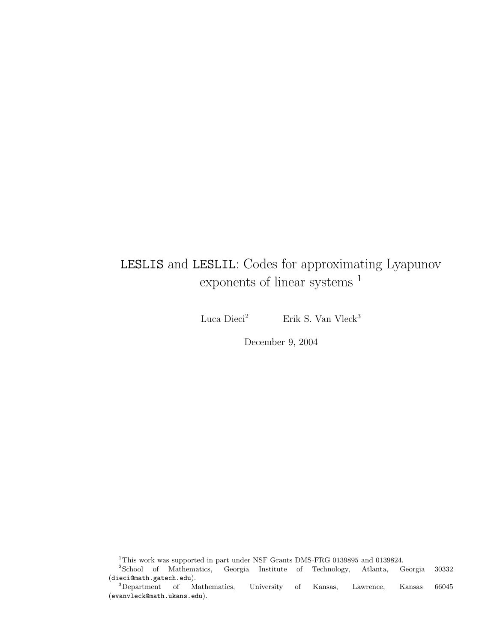## LESLIS and LESLIL: Codes for approximating Lyapunov exponents of linear systems <sup>1</sup>

Luca Dieci<sup>2</sup> Erik S. Van Vleck<sup>3</sup>

December 9, 2004

 $^1\rm{This}$  work was supported in part under NSF Grants DMS-FRG 0139895 and 0139824.

<sup>&</sup>lt;sup>2</sup>School of Mathematics, Georgia Institute of Technology, Atlanta, Georgia 30332 (dieci@math.gatech.edu).

<sup>3</sup>Department of Mathematics, University of Kansas, Lawrence, Kansas 66045 (evanvleck@math.ukans.edu).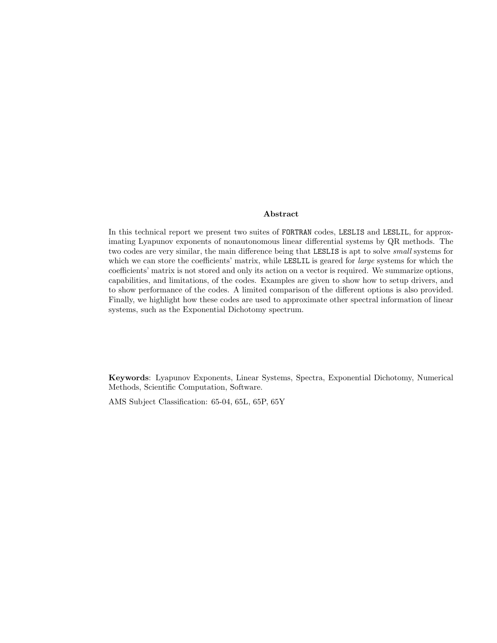#### Abstract

In this technical report we present two suites of FORTRAN codes, LESLIS and LESLIL, for approximating Lyapunov exponents of nonautonomous linear differential systems by QR methods. The two codes are very similar, the main difference being that LESLIS is apt to solve small systems for which we can store the coefficients' matrix, while LESLIL is geared for *large* systems for which the coefficients' matrix is not stored and only its action on a vector is required. We summarize options, capabilities, and limitations, of the codes. Examples are given to show how to setup drivers, and to show performance of the codes. A limited comparison of the different options is also provided. Finally, we highlight how these codes are used to approximate other spectral information of linear systems, such as the Exponential Dichotomy spectrum.

Keywords: Lyapunov Exponents, Linear Systems, Spectra, Exponential Dichotomy, Numerical Methods, Scientific Computation, Software.

AMS Subject Classification: 65-04, 65L, 65P, 65Y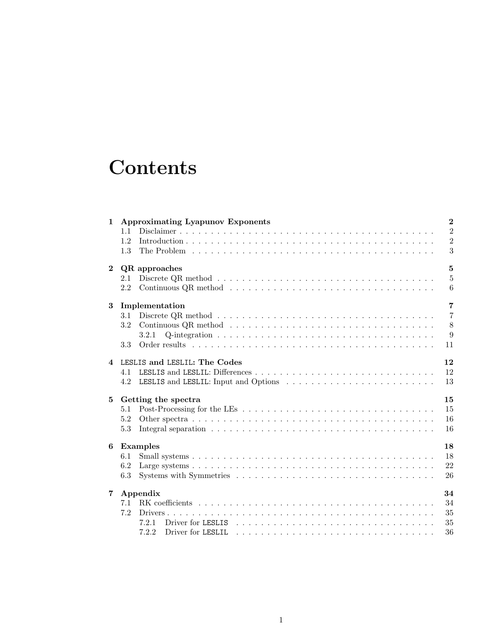# **Contents**

| $\mathbf{1}$   |     | <b>Approximating Lyapunov Exponents</b> | $\overline{2}$ |
|----------------|-----|-----------------------------------------|----------------|
|                | 1.1 |                                         | $\overline{2}$ |
|                | 1.2 |                                         | $\overline{2}$ |
|                | 1.3 |                                         | 3              |
| $\mathbf{2}$   |     | QR approaches                           | $\overline{5}$ |
|                | 2.1 |                                         | $\overline{5}$ |
|                | 2.2 |                                         | 6              |
| 3              |     | Implementation                          | $\overline{7}$ |
|                | 3.1 |                                         | $\overline{7}$ |
|                | 3.2 |                                         | 8              |
|                |     | 3.2.1                                   | 9              |
|                | 3.3 |                                         | 11             |
|                |     | 4 LESLIS and LESLIL: The Codes          | 12             |
|                | 4.1 |                                         | 12             |
|                | 4.2 |                                         | 13             |
| $5^{\circ}$    |     | Getting the spectra                     | 15             |
|                | 5.1 |                                         | 15             |
|                | 5.2 |                                         | 16             |
|                | 5.3 |                                         | 16             |
|                |     | 6 Examples                              | 18             |
|                | 6.1 |                                         | 18             |
|                | 6.2 |                                         | 22             |
|                | 6.3 |                                         | 26             |
| $\overline{7}$ |     | Appendix                                | 34             |
|                | 7.1 |                                         | 34             |
|                | 7.2 |                                         | 35             |
|                |     | 7.2.1                                   | 35             |
|                |     | 7.2.2                                   | 36             |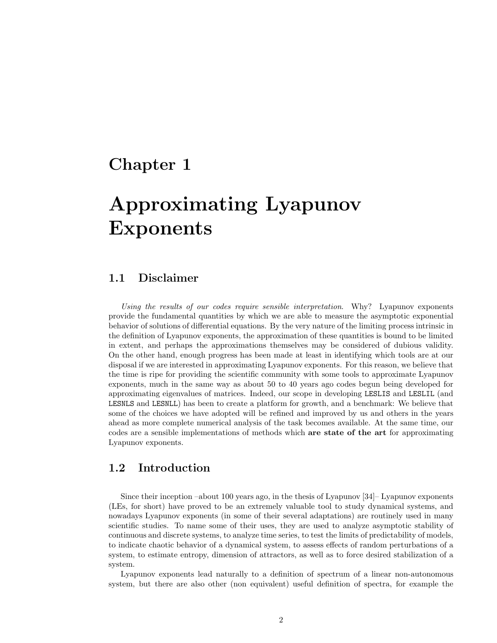# Approximating Lyapunov Exponents

## 1.1 Disclaimer

Using the results of our codes require sensible interpretation. Why? Lyapunov exponents provide the fundamental quantities by which we are able to measure the asymptotic exponential behavior of solutions of differential equations. By the very nature of the limiting process intrinsic in the definition of Lyapunov exponents, the approximation of these quantities is bound to be limited in extent, and perhaps the approximations themselves may be considered of dubious validity. On the other hand, enough progress has been made at least in identifying which tools are at our disposal if we are interested in approximating Lyapunov exponents. For this reason, we believe that the time is ripe for providing the scientific community with some tools to approximate Lyapunov exponents, much in the same way as about 50 to 40 years ago codes begun being developed for approximating eigenvalues of matrices. Indeed, our scope in developing LESLIS and LESLIL (and LESNLS and LESNLL) has been to create a platform for growth, and a benchmark: We believe that some of the choices we have adopted will be refined and improved by us and others in the years ahead as more complete numerical analysis of the task becomes available. At the same time, our codes are a sensible implementations of methods which are state of the art for approximating Lyapunov exponents.

## 1.2 Introduction

Since their inception –about 100 years ago, in the thesis of Lyapunov  $[34]$ – Lyapunov exponents (LEs, for short) have proved to be an extremely valuable tool to study dynamical systems, and nowadays Lyapunov exponents (in some of their several adaptations) are routinely used in many scientific studies. To name some of their uses, they are used to analyze asymptotic stability of continuous and discrete systems, to analyze time series, to test the limits of predictability of models, to indicate chaotic behavior of a dynamical system, to assess effects of random perturbations of a system, to estimate entropy, dimension of attractors, as well as to force desired stabilization of a system.

Lyapunov exponents lead naturally to a definition of spectrum of a linear non-autonomous system, but there are also other (non equivalent) useful definition of spectra, for example the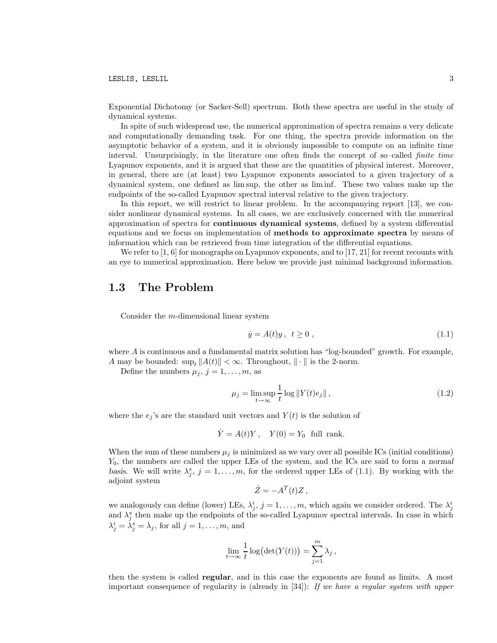LESLIS, LESLIL 3

Exponential Dichotomy (or Sacker-Sell) spectrum. Both these spectra are useful in the study of dynamical systems.

In spite of such widespread use, the numerical approximation of spectra remains a very delicate and computationally demanding task. For one thing, the spectra provide information on the asymptotic behavior of a system, and it is obviously impossible to compute on an infinite time interval. Unsurprisingly, in the literature one often finds the concept of so–called finite time Lyapunov exponents, and it is argued that these are the quantities of physical interest. Moreover, in general, there are (at least) two Lyapunov exponents associated to a given trajectory of a dynamical system, one defined as lim sup, the other as lim inf. These two values make up the endpoints of the so-called Lyapunov spectral interval relative to the given trajectory.

In this report, we will restrict to linear problem. In the accompanying report [13], we consider nonlinear dynamical systems. In all cases, we are exclusively concerned with the numerical approximation of spectra for continuous dynamical systems, defined by a system differential equations and we focus on implementation of methods to approximate spectra by means of information which can be retrieved from time integration of the differential equations.

We refer to  $[1, 6]$  for monographs on Lyapunov exponents, and to  $[17, 21]$  for recent recounts with an eye to numerical approximation. Here below we provide just minimal background information.

## 1.3 The Problem

Consider the m-dimensional linear system

$$
\dot{y} = A(t)y, \quad t \ge 0 \tag{1.1}
$$

where A is continuous and a fundamental matrix solution has "log-bounded" growth. For example, A may be bounded:  $\sup_t ||A(t)|| < \infty$ . Throughout,  $\|\cdot\|$  is the 2-norm.

Define the numbers  $\mu_j$ ,  $j = 1, \ldots, m$ , as

$$
\mu_j = \limsup_{t \to \infty} \frac{1}{t} \log ||Y(t)e_j||,
$$
\n(1.2)

where the  $e_i$ 's are the standard unit vectors and  $Y(t)$  is the solution of

$$
\dot{Y} = A(t)Y, \quad Y(0) = Y_0 \text{ full rank.}
$$

When the sum of these numbers  $\mu_j$  is minimized as we vary over all possible ICs (initial conditions)  $Y_0$ , the numbers are called the upper LEs of the system, and the ICs are said to form a normal basis. We will write  $\lambda_j^s$ ,  $j = 1, \ldots, m$ , for the ordered upper LEs of (1.1). By working with the adjoint system

$$
\dot{Z} = -A^T(t)Z,
$$

we analogously can define (lower) LEs,  $\lambda_j^i$ ,  $j = 1, \ldots, m$ , which again we consider ordered. The  $\lambda_j^i$ and  $\lambda_j^s$  then make up the endpoints of the so-called Lyapunov spectral intervals. In case in which  $\lambda_j^i = \lambda_j^s = \lambda_j$ , for all  $j = 1, \ldots, m$ , and

$$
\lim_{t \to \infty} \frac{1}{t} \log(\det(Y(t))) = \sum_{j=1}^{m} \lambda_j,
$$

then the system is called regular, and in this case the exponents are found as limits. A most important consequence of regularity is (already in  $[34]$ ): If we have a regular system with upper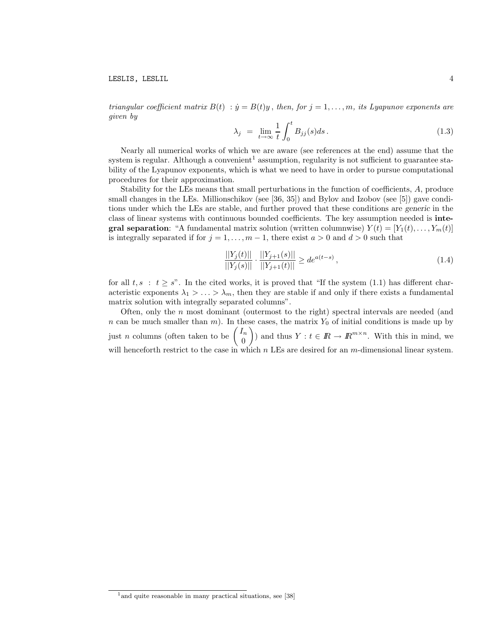LESLIS, LESLIL 4

triangular coefficient matrix  $B(t)$ :  $\dot{y} = B(t)y$ , then, for  $j = 1, ..., m$ , its Lyapunov exponents are given by

$$
\lambda_j = \lim_{t \to \infty} \frac{1}{t} \int_0^t B_{jj}(s) ds. \tag{1.3}
$$

Nearly all numerical works of which we are aware (see references at the end) assume that the system is regular. Although a convenient<sup>1</sup> assumption, regularity is not sufficient to guarantee stability of the Lyapunov exponents, which is what we need to have in order to pursue computational procedures for their approximation.

Stability for the LEs means that small perturbations in the function of coefficients, A, produce small changes in the LEs. Millionschikov (see [36, 35]) and Bylov and Izobov (see [5]) gave conditions under which the LEs are stable, and further proved that these conditions are generic in the class of linear systems with continuous bounded coefficients. The key assumption needed is inte**gral separation:** "A fundamental matrix solution (written columnwise)  $Y(t) = [Y_1(t), \ldots, Y_m(t)]$ is integrally separated if for  $j = 1, \ldots, m - 1$ , there exist  $a > 0$  and  $d > 0$  such that

$$
\frac{||Y_j(t)||}{||Y_j(s)||} \cdot \frac{||Y_{j+1}(s)||}{||Y_{j+1}(t)||} \geq de^{a(t-s)}\,,\tag{1.4}
$$

for all t, s: t  $\geq$  s". In the cited works, it is proved that "If the system (1.1) has different characteristic exponents  $\lambda_1 > \ldots > \lambda_m$ , then they are stable if and only if there exists a fundamental matrix solution with integrally separated columns".

Often, only the  $n$  most dominant (outermost to the right) spectral intervals are needed (and n can be much smaller than m). In these cases, the matrix  $Y_0$  of initial conditions is made up by just n columns (often taken to be  $\int I_n$ 0  $\overline{ }$ ) and thus  $Y: t \in \mathbb{R} \to \mathbb{R}^{m \times n}$ . With this in mind, we will henceforth restrict to the case in which n LEs are desired for an m-dimensional linear system.

 $1<sup>1</sup>$  and quite reasonable in many practical situations, see [38]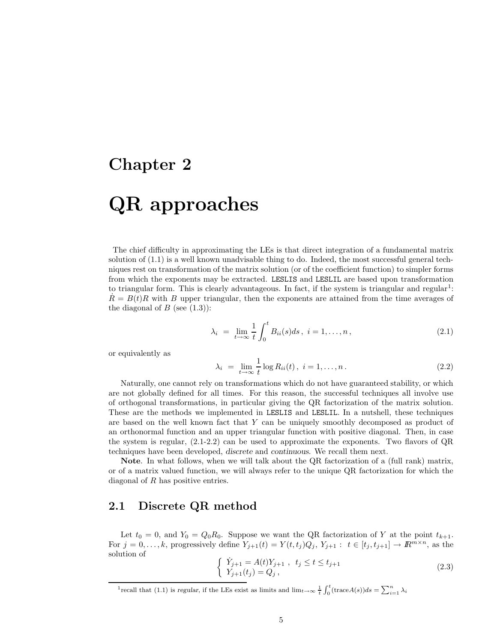# QR approaches

The chief difficulty in approximating the LEs is that direct integration of a fundamental matrix solution of (1.1) is a well known unadvisable thing to do. Indeed, the most successful general techniques rest on transformation of the matrix solution (or of the coefficient function) to simpler forms from which the exponents may be extracted. LESLIS and LESLIL are based upon transformation to triangular form. This is clearly advantageous. In fact, if the system is triangular and regular<sup>1</sup>:  $R = B(t)R$  with B upper triangular, then the exponents are attained from the time averages of the diagonal of  $B$  (see  $(1.3)$ ):

$$
\lambda_i = \lim_{t \to \infty} \frac{1}{t} \int_0^t B_{ii}(s) ds, \ i = 1, \dots, n,
$$
\n(2.1)

or equivalently as

$$
\lambda_i = \lim_{t \to \infty} \frac{1}{t} \log R_{ii}(t), \quad i = 1, \dots, n \,.
$$
 (2.2)

Naturally, one cannot rely on transformations which do not have guaranteed stability, or which are not globally defined for all times. For this reason, the successful techniques all involve use of orthogonal transformations, in particular giving the QR factorization of the matrix solution. These are the methods we implemented in LESLIS and LESLIL. In a nutshell, these techniques are based on the well known fact that Y can be uniquely smoothly decomposed as product of an orthonormal function and an upper triangular function with positive diagonal. Then, in case the system is regular, (2.1-2.2) can be used to approximate the exponents. Two flavors of QR techniques have been developed, discrete and continuous. We recall them next.

Note. In what follows, when we will talk about the QR factorization of a (full rank) matrix, or of a matrix valued function, we will always refer to the unique QR factorization for which the diagonal of  $R$  has positive entries.

## 2.1 Discrete QR method

Let  $t_0 = 0$ , and  $Y_0 = Q_0 R_0$ . Suppose we want the QR factorization of Y at the point  $t_{k+1}$ . For  $j = 0, \ldots, k$ , progressively define  $Y_{j+1}(t) = Y(t, t_j)Q_j$ ,  $Y_{j+1} : t \in [t_j, t_{j+1}] \to \mathbb{R}^{m \times n}$ , as the solution of

$$
\begin{cases} \dot{Y}_{j+1} = A(t)Y_{j+1} , & t_j \le t \le t_{j+1} \\ Y_{j+1}(t_j) = Q_j , \end{cases}
$$
\n(2.3)

<sup>&</sup>lt;sup>1</sup> recall that (1.1) is regular, if the LEs exist as limits and  $\lim_{t\to\infty} \frac{1}{t} \int_0^t (\text{trace}A(s))ds = \sum_{i=1}^n \lambda_i$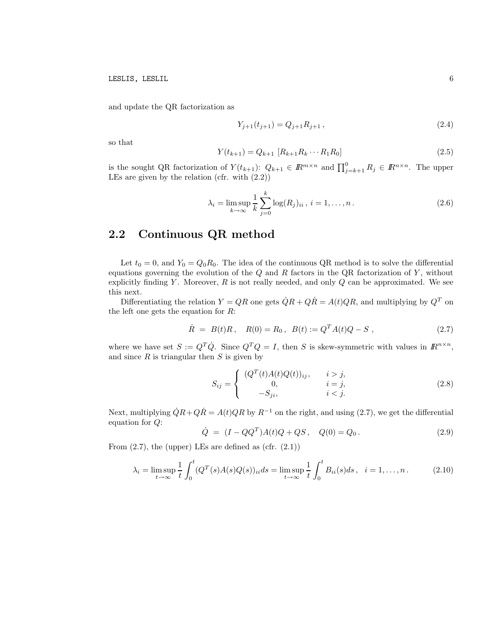LESLIS, LESLIL 6

and update the QR factorization as

$$
Y_{j+1}(t_{j+1}) = Q_{j+1} R_{j+1}, \qquad (2.4)
$$

so that

$$
Y(t_{k+1}) = Q_{k+1} [R_{k+1} R_k \cdots R_1 R_0]
$$
\n(2.5)

is the sought QR factorization of  $Y(t_{k+1})$ :  $Q_{k+1} \in \mathbb{R}^{m \times n}$  and  $\prod_{j=k+1}^{0} R_j \in \mathbb{R}^{n \times n}$ . The upper LEs are given by the relation (cfr. with (2.2))

$$
\lambda_i = \limsup_{k \to \infty} \frac{1}{k} \sum_{j=0}^{k} \log(R_j)_{ii}, \, i = 1, \dots, n \,.
$$
 (2.6)

## 2.2 Continuous QR method

Let  $t_0 = 0$ , and  $Y_0 = Q_0 R_0$ . The idea of the continuous QR method is to solve the differential equations governing the evolution of the  $Q$  and  $R$  factors in the QR factorization of  $Y$ , without explicitly finding Y. Moreover,  $R$  is not really needed, and only  $Q$  can be approximated. We see this next.

Differentiating the relation  $Y = QR$  one gets  $\dot{Q}R + Q\dot{R} = A(t)QR$ , and multiplying by  $Q^T$  on the left one gets the equation for  $R$ :

$$
\dot{R} = B(t)R, \quad R(0) = R_0, \quad B(t) := Q^T A(t)Q - S \tag{2.7}
$$

where we have set  $S := Q^T \dot{Q}$ . Since  $Q^T Q = I$ , then S is skew-symmetric with values in  $\mathbb{R}^{n \times n}$ , and since  $R$  is triangular then  $S$  is given by

$$
S_{ij} = \begin{cases} (Q^T(t)A(t)Q(t))_{ij}, & i > j, \\ 0, & i = j, \\ -S_{ji}, & i < j. \end{cases}
$$
 (2.8)

Next, multiplying  $\dot{Q}R + Q\dot{R} = A(t)QR$  by  $R^{-1}$  on the right, and using (2.7), we get the differential equation for  $Q$ :

$$
\dot{Q} = (I - QQ^T)A(t)Q + QS, \quad Q(0) = Q_0.
$$
\n(2.9)

From  $(2.7)$ , the (upper) LEs are defined as  $(cfr. (2.1))$ 

$$
\lambda_i = \limsup_{t \to \infty} \frac{1}{t} \int_0^t (Q^T(s)A(s)Q(s))_{ii} ds = \limsup_{t \to \infty} \frac{1}{t} \int_0^t B_{ii}(s)ds, \quad i = 1, \dots, n. \tag{2.10}
$$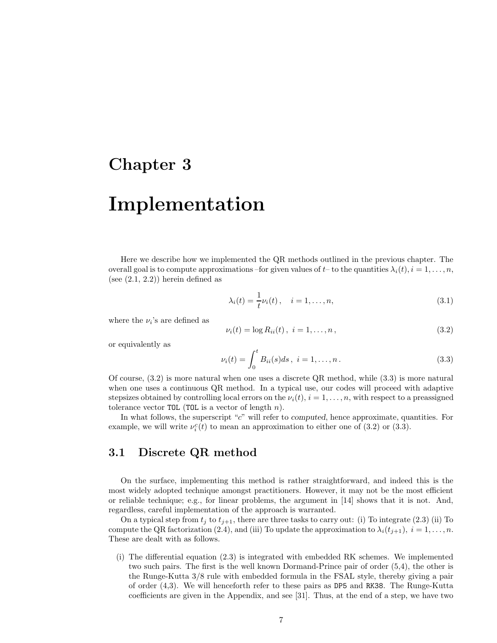# Implementation

Here we describe how we implemented the QR methods outlined in the previous chapter. The overall goal is to compute approximations –for given values of  $t$  – to the quantities  $\lambda_i(t), i = 1, \ldots, n$ , (see  $(2.1, 2.2)$ ) herein defined as

$$
\lambda_i(t) = \frac{1}{t} \nu_i(t), \quad i = 1, ..., n,
$$
\n(3.1)

where the  $\nu_i$ 's are defined as

$$
\nu_i(t) = \log R_{ii}(t), \ i = 1, \dots, n,
$$
\n(3.2)

or equivalently as

$$
\nu_i(t) = \int_0^t B_{ii}(s)ds, \ i = 1, \dots, n. \tag{3.3}
$$

Of course, (3.2) is more natural when one uses a discrete QR method, while (3.3) is more natural when one uses a continuous QR method. In a typical use, our codes will proceed with adaptive stepsizes obtained by controlling local errors on the  $\nu_i(t)$ ,  $i = 1, \ldots, n$ , with respect to a preassigned tolerance vector TOL (TOL is a vector of length  $n$ ).

In what follows, the superscript " $c$ " will refer to *computed*, hence approximate, quantities. For example, we will write  $\nu_i^c(t)$  to mean an approximation to either one of (3.2) or (3.3).

## 3.1 Discrete QR method

On the surface, implementing this method is rather straightforward, and indeed this is the most widely adopted technique amongst practitioners. However, it may not be the most efficient or reliable technique; e.g., for linear problems, the argument in [14] shows that it is not. And, regardless, careful implementation of the approach is warranted.

On a typical step from  $t_j$  to  $t_{j+1}$ , there are three tasks to carry out: (i) To integrate (2.3) (ii) To compute the QR factorization (2.4), and (iii) To update the approximation to  $\lambda_i(t_{j+1}), i = 1, \ldots, n$ . These are dealt with as follows.

(i) The differential equation (2.3) is integrated with embedded RK schemes. We implemented two such pairs. The first is the well known Dormand-Prince pair of order (5,4), the other is the Runge-Kutta 3/8 rule with embedded formula in the FSAL style, thereby giving a pair of order (4,3). We will henceforth refer to these pairs as DP5 and RK38. The Runge-Kutta coefficients are given in the Appendix, and see [31]. Thus, at the end of a step, we have two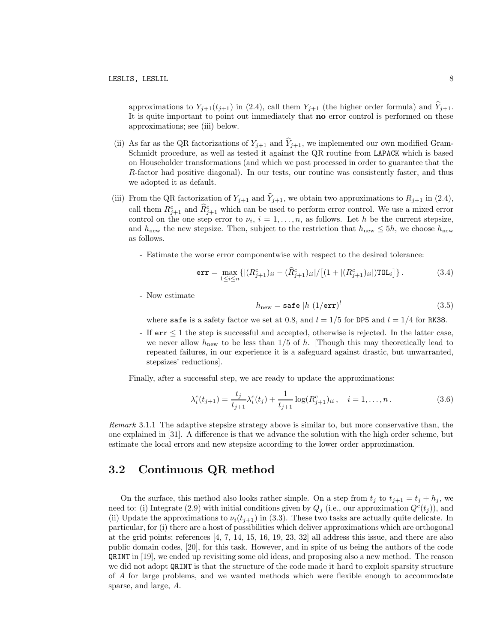approximations to  $Y_{j+1}(t_{j+1})$  in (2.4), call them  $Y_{j+1}$  (the higher order formula) and  $\hat{Y}_{j+1}$ . It is quite important to point out immediately that no error control is performed on these approximations; see (iii) below.

- (ii) As far as the QR factorizations of  $Y_{j+1}$  and  $\hat{Y}_{j+1}$ , we implemented our own modified Gram-Schmidt procedure, as well as tested it against the QR routine from LAPACK which is based on Householder transformations (and which we post processed in order to guarantee that the R-factor had positive diagonal). In our tests, our routine was consistently faster, and thus we adopted it as default.
- (iii) From the QR factorization of  $Y_{j+1}$  and  $\widehat{Y}_{j+1}$ , we obtain two approximations to  $R_{j+1}$  in (2.4), call them  $R_{j+1}^c$  and  $\widehat{R}_{j+1}^c$  which can be used to perform error control. We use a mixed error control on the one step error to  $\nu_i$ ,  $i = 1, ..., n$ , as follows. Let h be the current stepsize, and  $h_{\text{new}}$  the new stepsize. Then, subject to the restriction that  $h_{\text{new}} \leq 5h$ , we choose  $h_{\text{new}}$ as follows.
	- Estimate the worse error componentwise with respect to the desired tolerance:

$$
\mathbf{err} = \max_{1 \le i \le n} \{ |(R_{j+1}^c)_{ii} - (\widehat{R}_{j+1}^c)_{ii}| / [(1 + |(R_{j+1}^c)_{ii}|) \text{TOL}_i] \}.
$$
 (3.4)

- Now estimate

$$
h_{\text{new}} = \text{safe } |h \ (1/\text{err})^l| \tag{3.5}
$$

where safe is a safety factor we set at 0.8, and  $l = 1/5$  for DP5 and  $l = 1/4$  for RK38.

- If  $err \leq 1$  the step is successful and accepted, otherwise is rejected. In the latter case, we never allow  $h_{\text{new}}$  to be less than  $1/5$  of h. [Though this may theoretically lead to repeated failures, in our experience it is a safeguard against drastic, but unwarranted, stepsizes' reductions].

Finally, after a successful step, we are ready to update the approximations:

$$
\lambda_i^c(t_{j+1}) = \frac{t_j}{t_{j+1}} \lambda_i^c(t_j) + \frac{1}{t_{j+1}} \log(R_{j+1}^c)_{ii}, \quad i = 1, \dots, n. \tag{3.6}
$$

Remark 3.1.1 The adaptive stepsize strategy above is similar to, but more conservative than, the one explained in [31]. A difference is that we advance the solution with the high order scheme, but estimate the local errors and new stepsize according to the lower order approximation.

## 3.2 Continuous QR method

On the surface, this method also looks rather simple. On a step from  $t_j$  to  $t_{j+1} = t_j + h_j$ , we need to: (i) Integrate (2.9) with initial conditions given by  $Q_j$  (i.e., our approximation  $Q^c(t_j)$ ), and (ii) Update the approximations to  $\nu_i(t_{j+1})$  in (3.3). These two tasks are actually quite delicate. In particular, for (i) there are a host of possibilities which deliver approximations which are orthogonal at the grid points; references  $\left[4, 7, 14, 15, 16, 19, 23, 32\right]$  all address this issue, and there are also public domain codes, [20], for this task. However, and in spite of us being the authors of the code QRINT in [19], we ended up revisiting some old ideas, and proposing also a new method. The reason we did not adopt QRINT is that the structure of the code made it hard to exploit sparsity structure of A for large problems, and we wanted methods which were flexible enough to accommodate sparse, and large, A.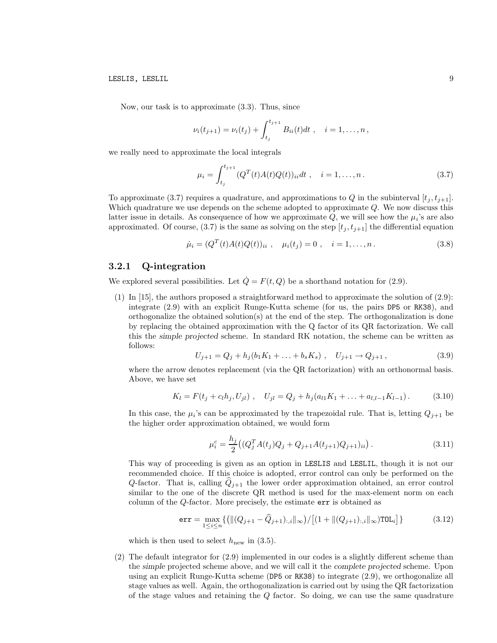Now, our task is to approximate (3.3). Thus, since

$$
\nu_i(t_{j+1}) = \nu_i(t_j) + \int_{t_j}^{t_{j+1}} B_{ii}(t) dt , \quad i = 1, \dots, n,
$$

we really need to approximate the local integrals

$$
\mu_i = \int_{t_j}^{t_{j+1}} (Q^T(t)A(t)Q(t))_{ii} dt , \quad i = 1, ..., n.
$$
\n(3.7)

To approximate (3.7) requires a quadrature, and approximations to Q in the subinterval  $[t_i, t_{i+1}]$ . Which quadrature we use depends on the scheme adopted to approximate Q. We now discuss this latter issue in details. As consequence of how we approximate  $Q$ , we will see how the  $\mu_i$ 's are also approximated. Of course,  $(3.7)$  is the same as solving on the step  $[t_j,t_{j+1}]$  the differential equation

$$
\dot{\mu}_i = (Q^T(t)A(t)Q(t))_{ii}, \quad \mu_i(t_j) = 0, \quad i = 1, \dots, n. \tag{3.8}
$$

#### 3.2.1 Q-integration

We explored several possibilities. Let  $\dot{Q} = F(t, Q)$  be a shorthand notation for (2.9).

(1) In [15], the authors proposed a straightforward method to approximate the solution of (2.9): integrate (2.9) with an explicit Runge-Kutta scheme (for us, the pairs DP5 or RK38), and orthogonalize the obtained solution(s) at the end of the step. The orthogonalization is done by replacing the obtained approximation with the Q factor of its QR factorization. We call this the simple projected scheme. In standard RK notation, the scheme can be written as follows:

$$
U_{j+1} = Q_j + h_j(b_1K_1 + \dots + b_sK_s) , \quad U_{j+1} \to Q_{j+1} , \tag{3.9}
$$

where the arrow denotes replacement (via the QR factorization) with an orthonormal basis. Above, we have set

$$
K_l = F(t_j + c_l h_j, U_{jl}), \quad U_{jl} = Q_j + h_j (a_{l1} K_1 + \dots + a_{l,l-1} K_{l-1}). \tag{3.10}
$$

In this case, the  $\mu_i$ 's can be approximated by the trapezoidal rule. That is, letting  $Q_{j+1}$  be the higher order approximation obtained, we would form

$$
\mu_i^c = \frac{h_j}{2} \left( (Q_j^T A(t_j) Q_j + Q_{j+1} A(t_{j+1}) Q_{j+1})_{ii} \right). \tag{3.11}
$$

This way of proceeding is given as an option in LESLIS and LESLIL, though it is not our recommended choice. If this choice is adopted, error control can only be performed on the Q-factor. That is, calling  $Q_{i+1}$  the lower order approximation obtained, an error control similar to the one of the discrete QR method is used for the max-element norm on each column of the Q-factor. More precisely, the estimate err is obtained as

$$
\mathbf{err} = \max_{1 \le i \le n} \{ (||(Q_{j+1} - \widehat{Q}_{j+1})_{:,i}||_{\infty}) / [(1 + ||(Q_{j+1})_{:,i}||_{\infty}) \text{TOL}_i] \}
$$
(3.12)

which is then used to select  $h_{\text{new}}$  in (3.5).

(2) The default integrator for (2.9) implemented in our codes is a slightly different scheme than the simple projected scheme above, and we will call it the complete projected scheme. Upon using an explicit Runge-Kutta scheme (DP5 or RK38) to integrate (2.9), we orthogonalize all stage values as well. Again, the orthogonalization is carried out by using the QR factorization of the stage values and retaining the  $Q$  factor. So doing, we can use the same quadrature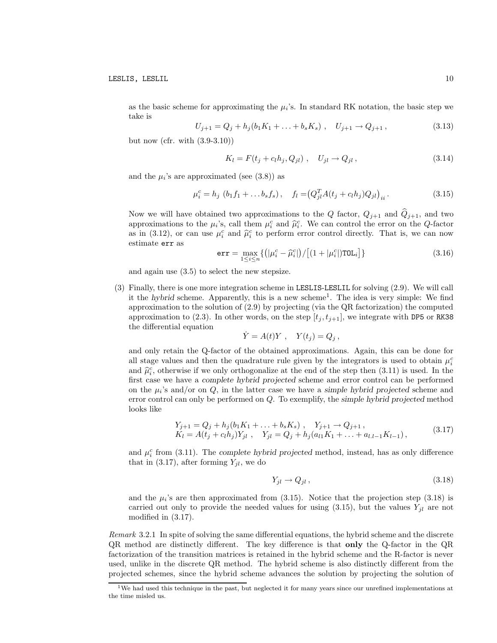as the basic scheme for approximating the  $\mu_i$ 's. In standard RK notation, the basic step we take is

$$
U_{j+1} = Q_j + h_j(b_1K_1 + \ldots + b_sK_s) , \quad U_{j+1} \to Q_{j+1} , \tag{3.13}
$$

but now (cfr. with (3.9-3.10))

$$
K_l = F(t_j + c_l h_j, Q_{jl}), \quad U_{jl} \to Q_{jl}, \qquad (3.14)
$$

and the  $\mu_i$ 's are approximated (see  $(3.8)$ ) as

$$
\mu_i^c = h_j \left( b_1 f_1 + \dots b_s f_s \right), \quad f_l = \left( Q_{jl}^T A (t_j + c_l h_j) Q_{jl} \right)_{ii}.
$$
 (3.15)

Now we will have obtained two approximations to the Q factor,  $Q_{j+1}$  and  $\hat{Q}_{j+1}$ , and two approximations to the  $\mu_i$ 's, call them  $\mu_i^c$  and  $\hat{\mu}_i^c$ . We can control the error on the Q-factor as in (3.12), or can use  $\mu_i^c$  and  $\hat{\mu}_i^c$  to perform error control directly. That is, we can now estimate err as

$$
\mathbf{err} = \max_{1 \le i \le n} \{ \left( |\mu_i^c - \widehat{\mu}_i^c| \right) / \left[ (1 + |\mu_i^c|) \text{TOL}_i \right] \} \tag{3.16}
$$

and again use (3.5) to select the new stepsize.

(3) Finally, there is one more integration scheme in LESLIS-LESLIL for solving (2.9). We will call it the hybrid scheme. Apparently, this is a new scheme<sup>1</sup>. The idea is very simple: We find approximation to the solution of (2.9) by projecting (via the QR factorization) the computed approximation to (2.3). In other words, on the step  $[t_j, t_{j+1}]$ , we integrate with DP5 or RK38 the differential equation

$$
\dot{Y} = A(t)Y \ , \quad Y(t_j) = Q_j \ ,
$$

and only retain the Q-factor of the obtained approximations. Again, this can be done for all stage values and then the quadrature rule given by the integrators is used to obtain  $\mu_i^c$ and  $\hat{\mu}_i^c$ , otherwise if we only orthogonalize at the end of the step then  $(3.11)$  is used. In the first case we have a complete hybrid projected scheme and error control can be performed on the  $\mu_i$ 's and/or on  $Q$ , in the latter case we have a simple hybrid projected scheme and error control can only be performed on Q. To exemplify, the simple hybrid projected method looks like

$$
Y_{j+1} = Q_j + h_j(b_1K_1 + \dots + b_sK_s), \quad Y_{j+1} \to Q_{j+1},
$$
  
\n
$$
K_l = A(t_j + c_lh_j)Y_{jl}, \quad Y_{jl} = Q_j + h_j(a_{l1}K_1 + \dots + a_{l,l-1}K_{l-1}),
$$
\n(3.17)

and  $\mu_i^c$  from (3.11). The complete hybrid projected method, instead, has as only difference that in  $(3.17)$ , after forming  $Y_{jl}$ , we do

$$
Y_{jl} \to Q_{jl} \,, \tag{3.18}
$$

and the  $\mu_i$ 's are then approximated from (3.15). Notice that the projection step (3.18) is carried out only to provide the needed values for using  $(3.15)$ , but the values  $Y_{il}$  are not modified in (3.17).

Remark 3.2.1 In spite of solving the same differential equations, the hybrid scheme and the discrete QR method are distinctly different. The key difference is that only the Q-factor in the QR factorization of the transition matrices is retained in the hybrid scheme and the R-factor is never used, unlike in the discrete QR method. The hybrid scheme is also distinctly different from the projected schemes, since the hybrid scheme advances the solution by projecting the solution of

 $1$ We had used this technique in the past, but neglected it for many years since our unrefined implementations at the time misled us.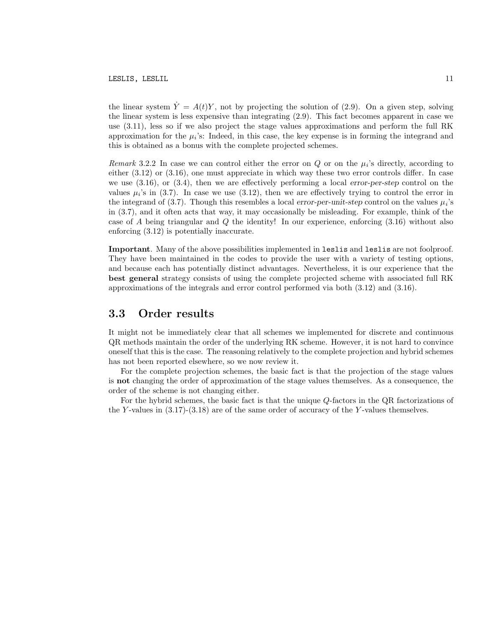the linear system  $\dot{Y} = A(t)Y$ , not by projecting the solution of (2.9). On a given step, solving the linear system is less expensive than integrating (2.9). This fact becomes apparent in case we use (3.11), less so if we also project the stage values approximations and perform the full RK approximation for the  $\mu_i$ 's: Indeed, in this case, the key expense is in forming the integrand and this is obtained as a bonus with the complete projected schemes.

Remark 3.2.2 In case we can control either the error on  $Q$  or on the  $\mu_i$ 's directly, according to either (3.12) or (3.16), one must appreciate in which way these two error controls differ. In case we use  $(3.16)$ , or  $(3.4)$ , then we are effectively performing a local error-per-step control on the values  $\mu_i$ 's in (3.7). In case we use (3.12), then we are effectively trying to control the error in the integrand of (3.7). Though this resembles a local error-per-unit-step control on the values  $\mu_i$ 's in (3.7), and it often acts that way, it may occasionally be misleading. For example, think of the case of A being triangular and  $Q$  the identity! In our experience, enforcing  $(3.16)$  without also enforcing (3.12) is potentially inaccurate.

Important. Many of the above possibilities implemented in leslis and leslis are not foolproof. They have been maintained in the codes to provide the user with a variety of testing options, and because each has potentially distinct advantages. Nevertheless, it is our experience that the best general strategy consists of using the complete projected scheme with associated full RK approximations of the integrals and error control performed via both (3.12) and (3.16).

### 3.3 Order results

It might not be immediately clear that all schemes we implemented for discrete and continuous QR methods maintain the order of the underlying RK scheme. However, it is not hard to convince oneself that this is the case. The reasoning relatively to the complete projection and hybrid schemes has not been reported elsewhere, so we now review it.

For the complete projection schemes, the basic fact is that the projection of the stage values is not changing the order of approximation of the stage values themselves. As a consequence, the order of the scheme is not changing either.

For the hybrid schemes, the basic fact is that the unique Q-factors in the QR factorizations of the Y-values in  $(3.17)-(3.18)$  are of the same order of accuracy of the Y-values themselves.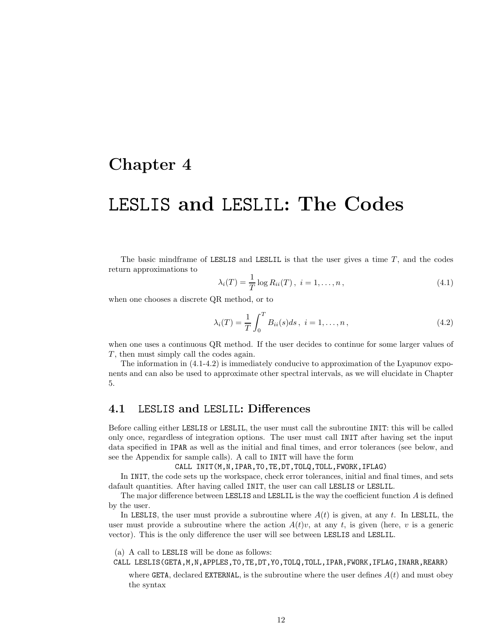## LESLIS and LESLIL: The Codes

The basic mindframe of LESLIS and LESLIL is that the user gives a time  $T$ , and the codes return approximations to

$$
\lambda_i(T) = \frac{1}{T} \log R_{ii}(T), \ i = 1, \dots, n, \tag{4.1}
$$

when one chooses a discrete QR method, or to

$$
\lambda_i(T) = \frac{1}{T} \int_0^T B_{ii}(s) ds, \ i = 1, \dots, n,
$$
\n(4.2)

when one uses a continuous QR method. If the user decides to continue for some larger values of T, then must simply call the codes again.

The information in (4.1-4.2) is immediately conducive to approximation of the Lyapunov exponents and can also be used to approximate other spectral intervals, as we will elucidate in Chapter 5.

### 4.1 LESLIS and LESLIL: Differences

Before calling either LESLIS or LESLIL, the user must call the subroutine INIT: this will be called only once, regardless of integration options. The user must call INIT after having set the input data specified in IPAR as well as the initial and final times, and error tolerances (see below, and see the Appendix for sample calls). A call to INIT will have the form

#### CALL INIT(M,N,IPAR,T0,TE,DT,TOLQ,TOLL,FWORK,IFLAG)

In INIT, the code sets up the workspace, check error tolerances, initial and final times, and sets dafault quantities. After having called INIT, the user can call LESLIS or LESLIL.

The major difference between LESLIS and LESLIL is the way the coefficient function  $A$  is defined by the user.

In LESLIS, the user must provide a subroutine where  $A(t)$  is given, at any t. In LESLIL, the user must provide a subroutine where the action  $A(t)v$ , at any t, is given (here, v is a generic vector). This is the only difference the user will see between LESLIS and LESLIL.

(a) A call to LESLIS will be done as follows:

CALL LESLIS(GETA, M, N, APPLES, TO, TE, DT, YO, TOLQ, TOLL, IPAR, FWORK, IFLAG, INARR, REARR)

where GETA, declared EXTERNAL, is the subroutine where the user defines  $A(t)$  and must obey the syntax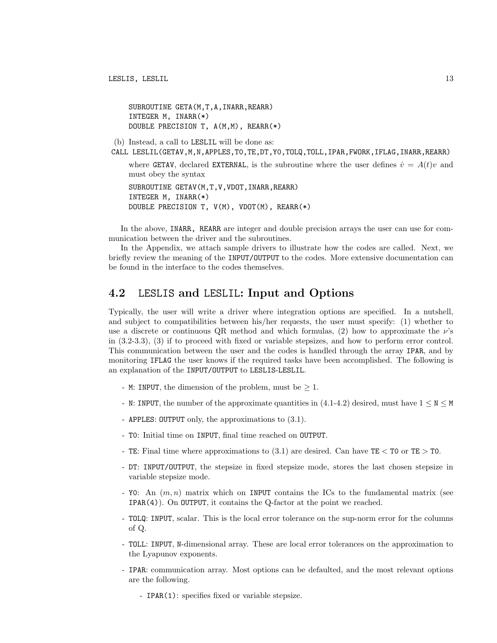```
SUBROUTINE GETA(M,T,A,INARR,REARR)
INTEGER M, INARR(*)
DOUBLE PRECISION T, A(M,M), REARR(*)
```
(b) Instead, a call to LESLIL will be done as:

```
CALL LESLIL(GETAV, M, N, APPLES, TO, TE, DT, YO, TOLQ, TOLL, IPAR, FWORK, IFLAG, INARR, REARR)
```
where GETAV, declared EXTERNAL, is the subroutine where the user defines  $\dot{v} = A(t)v$  and must obey the syntax

SUBROUTINE GETAV(M, T, V, VDOT, INARR, REARR) INTEGER M, INARR(\*) DOUBLE PRECISION T, V(M), VDOT(M), REARR(\*)

In the above, INARR, REARR are integer and double precision arrays the user can use for communication between the driver and the subroutines.

In the Appendix, we attach sample drivers to illustrate how the codes are called. Next, we briefly review the meaning of the INPUT/OUTPUT to the codes. More extensive documentation can be found in the interface to the codes themselves.

## 4.2 LESLIS and LESLIL: Input and Options

Typically, the user will write a driver where integration options are specified. In a nutshell, and subject to compatibilities between his/her requests, the user must specify: (1) whether to use a discrete or continuous QR method and which formulas, (2) how to approximate the  $\nu$ 's in (3.2-3.3), (3) if to proceed with fixed or variable stepsizes, and how to perform error control. This communication between the user and the codes is handled through the array IPAR, and by monitoring IFLAG the user knows if the required tasks have been accomplished. The following is an explanation of the INPUT/OUTPUT to LESLIS-LESLIL.

- M: INPUT, the dimension of the problem, must be  $\geq 1$ .
- N: INPUT, the number of the approximate quantities in (4.1-4.2) desired, must have  $1 \leq N \leq M$
- APPLES: OUTPUT only, the approximations to (3.1).
- T0: Initial time on INPUT, final time reached on OUTPUT.
- TE: Final time where approximations to  $(3.1)$  are desired. Can have TE  $<$  TO or TE  $>$  TO.
- DT: INPUT/OUTPUT, the stepsize in fixed stepsize mode, stores the last chosen stepsize in variable stepsize mode.
- YO: An  $(m, n)$  matrix which on INPUT contains the ICs to the fundamental matrix (see IPAR(4)). On OUTPUT, it contains the Q-factor at the point we reached.
- TOLQ: INPUT, scalar. This is the local error tolerance on the sup-norm error for the columns of Q.
- TOLL: INPUT, N-dimensional array. These are local error tolerances on the approximation to the Lyapunov exponents.
- IPAR: communication array. Most options can be defaulted, and the most relevant options are the following.
	- IPAR(1): specifies fixed or variable stepsize.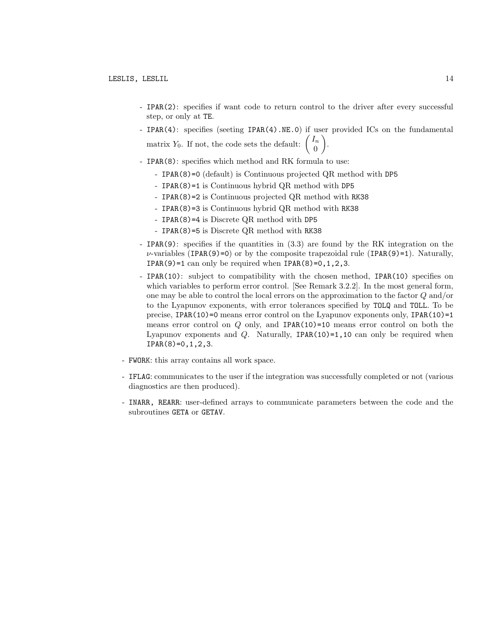- IPAR(2): specifies if want code to return control to the driver after every successful step, or only at TE.
- IPAR(4): specifies (seeting IPAR(4).NE.0) if user provided ICs on the fundamental matrix  $Y_0$ . If not, the code sets the default:  $\begin{pmatrix} I_n \\ 0 \end{pmatrix}$ 0  $\overline{ }$ .
- IPAR(8): specifies which method and RK formula to use:
	- IPAR(8)=0 (default) is Continuous projected QR method with DP5
	- IPAR(8)=1 is Continuous hybrid QR method with DP5
	- IPAR(8)=2 is Continuous projected QR method with RK38
	- IPAR(8)=3 is Continuous hybrid QR method with RK38
	- IPAR(8)=4 is Discrete QR method with DP5
	- IPAR(8)=5 is Discrete QR method with RK38
- IPAR(9): specifies if the quantities in (3.3) are found by the RK integration on the  $\nu$ -variables (IPAR(9)=0) or by the composite trapezoidal rule (IPAR(9)=1). Naturally, IPAR(9)=1 can only be required when  $IPAR(8)=0,1,2,3$ .
- IPAR(10): subject to compatibility with the chosen method, IPAR(10) specifies on which variables to perform error control. [See Remark 3.2.2]. In the most general form, one may be able to control the local errors on the approximation to the factor Q and/or to the Lyapunov exponents, with error tolerances specified by TOLQ and TOLL. To be precise,  $IPAR(10)=0$  means error control on the Lyapunov exponents only,  $IPAR(10)=1$ means error control on  $Q$  only, and **IPAR(10)=10** means error control on both the Lyapunov exponents and  $Q$ . Naturally, IPAR(10)=1,10 can only be required when  $IPAR(8)=0,1,2,3.$
- FWORK: this array contains all work space.
- IFLAG: communicates to the user if the integration was successfully completed or not (various diagnostics are then produced).
- INARR, REARR: user-defined arrays to communicate parameters between the code and the subroutines GETA or GETAV.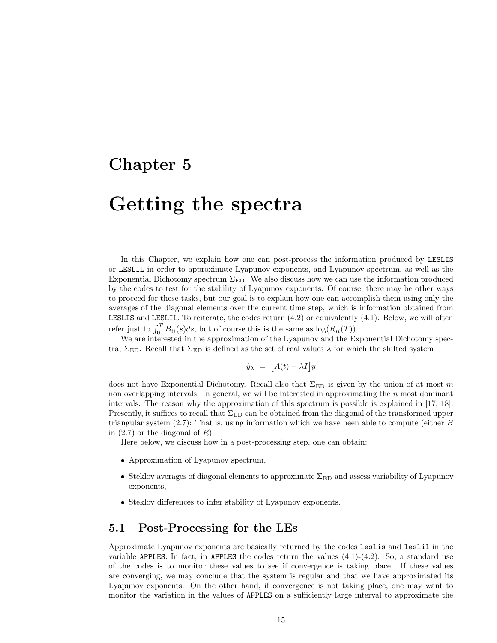# Getting the spectra

In this Chapter, we explain how one can post-process the information produced by LESLIS or LESLIL in order to approximate Lyapunov exponents, and Lyapunov spectrum, as well as the Exponential Dichotomy spectrum  $\Sigma_{ED}$ . We also discuss how we can use the information produced by the codes to test for the stability of Lyapunov exponents. Of course, there may be other ways to proceed for these tasks, but our goal is to explain how one can accomplish them using only the averages of the diagonal elements over the current time step, which is information obtained from LESLIS and LESLIL. To reiterate, the codes return (4.2) or equivalently (4.1). Below, we will often refer just to  $\int_0^T B_{ii}(s)ds$ , but of course this is the same as  $\log(R_{ii}(T))$ .

We are interested in the approximation of the Lyapunov and the Exponential Dichotomy spectra,  $\Sigma_{ED}$ . Recall that  $\Sigma_{ED}$  is defined as the set of real values  $\lambda$  for which the shifted system

$$
\dot{y}_\lambda ~=~ \left[ A(t)-\lambda I\right] y
$$

does not have Exponential Dichotomy. Recall also that  $\Sigma_{ED}$  is given by the union of at most m non overlapping intervals. In general, we will be interested in approximating the  $n$  most dominant intervals. The reason why the approximation of this spectrum is possible is explained in [17, 18]. Presently, it suffices to recall that  $\Sigma_{ED}$  can be obtained from the diagonal of the transformed upper triangular system (2.7): That is, using information which we have been able to compute (either B in  $(2.7)$  or the diagonal of R).

Here below, we discuss how in a post-processing step, one can obtain:

- Approximation of Lyapunov spectrum,
- Steklov averages of diagonal elements to approximate  $\Sigma_{ED}$  and assess variability of Lyapunov exponents,
- Steklov differences to infer stability of Lyapunov exponents.

## 5.1 Post-Processing for the LEs

Approximate Lyapunov exponents are basically returned by the codes leslis and leslil in the variable APPLES. In fact, in APPLES the codes return the values  $(4.1)-(4.2)$ . So, a standard use of the codes is to monitor these values to see if convergence is taking place. If these values are converging, we may conclude that the system is regular and that we have approximated its Lyapunov exponents. On the other hand, if convergence is not taking place, one may want to monitor the variation in the values of APPLES on a sufficiently large interval to approximate the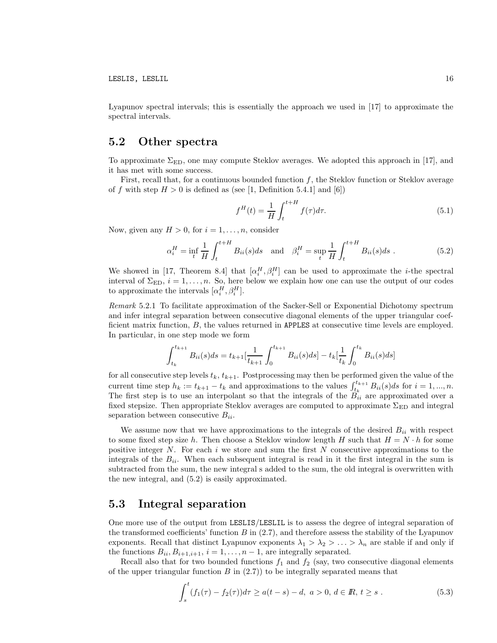Lyapunov spectral intervals; this is essentially the approach we used in [17] to approximate the spectral intervals.

### 5.2 Other spectra

To approximate  $\Sigma_{ED}$ , one may compute Steklov averages. We adopted this approach in [17], and it has met with some success.

First, recall that, for a continuous bounded function  $f$ , the Steklov function or Steklov average of f with step  $H > 0$  is defined as (see [1, Definition 5.4.1] and [6])

$$
f^{H}(t) = \frac{1}{H} \int_{t}^{t+H} f(\tau) d\tau.
$$
\n(5.1)

Now, given any  $H > 0$ , for  $i = 1, \ldots, n$ , consider

$$
\alpha_i^H = \inf_t \frac{1}{H} \int_t^{t+H} B_{ii}(s)ds \text{ and } \beta_i^H = \sup_t \frac{1}{H} \int_t^{t+H} B_{ii}(s)ds .
$$
 (5.2)

We showed in [17, Theorem 8.4] that  $\left[\alpha_i^H, \beta_i^H\right]$  can be used to approximate the *i*-the spectral interval of  $\Sigma_{ED}$ ,  $i = 1, ..., n$ . So, here below we explain how one can use the output of our codes to approximate the intervals  $[\alpha_i^H, \beta_i^H]$ .

Remark 5.2.1 To facilitate approximation of the Sacker-Sell or Exponential Dichotomy spectrum and infer integral separation between consecutive diagonal elements of the upper triangular coefficient matrix function, B, the values returned in APPLES at consecutive time levels are employed. In particular, in one step mode we form

$$
\int_{t_k}^{t_{k+1}} B_{ii}(s) ds = t_{k+1} \left[ \frac{1}{t_{k+1}} \int_0^{t_{k+1}} B_{ii}(s) ds \right] - t_k \left[ \frac{1}{t_k} \int_0^{t_k} B_{ii}(s) ds \right]
$$

for all consecutive step levels  $t_k, t_{k+1}$ . Postprocessing may then be performed given the value of the current time step  $h_k := t_{k+1} - t_k$  and approximations to the values  $\int_{t_k}^{t_{k+1}} B_{ii}(s) ds$  for  $i = 1, ..., n$ . The first step is to use an interpolant so that the integrals of the  $B_{ii}$  are approximated over a fixed stepsize. Then appropriate Steklov averages are computed to approximate  $\Sigma_{ED}$  and integral separation between consecutive  $B_{ii}$ .

We assume now that we have approximations to the integrals of the desired  $B_{ii}$  with respect to some fixed step size h. Then choose a Steklov window length H such that  $H = N \cdot h$  for some positive integer  $N$ . For each i we store and sum the first  $N$  consecutive approximations to the integrals of the  $B_{ii}$ . When each subsequent integral is read in it the first integral in the sum is subtracted from the sum, the new integral s added to the sum, the old integral is overwritten with the new integral, and (5.2) is easily approximated.

### 5.3 Integral separation

One more use of the output from LESLIS/LESLIL is to assess the degree of integral separation of the transformed coefficients' function  $B$  in  $(2.7)$ , and therefore assess the stability of the Lyapunov exponents. Recall that distinct Lyapunov exponents  $\lambda_1 > \lambda_2 > \ldots > \lambda_n$  are stable if and only if the functions  $B_{ii}, B_{i+1,i+1}, i = 1, \ldots, n-1$ , are integrally separated.

Recall also that for two bounded functions  $f_1$  and  $f_2$  (say, two consecutive diagonal elements of the upper triangular function  $B$  in  $(2.7)$  to be integrally separated means that

$$
\int_{s}^{t} (f_1(\tau) - f_2(\tau))d\tau \ge a(t - s) - d, \ a > 0, \ d \in \mathbb{R}, \ t \ge s \ .
$$
 (5.3)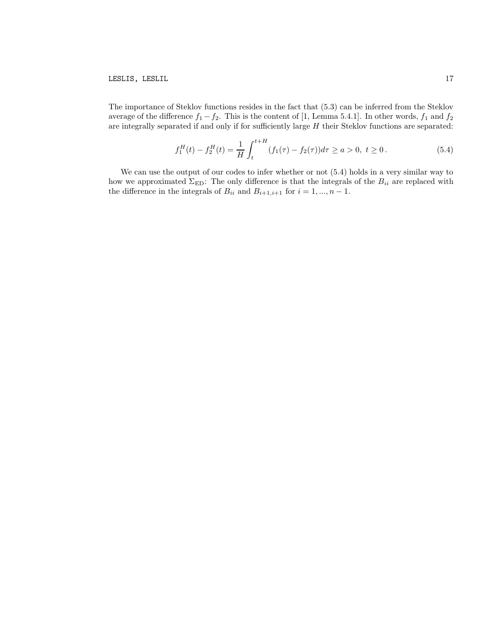The importance of Steklov functions resides in the fact that (5.3) can be inferred from the Steklov average of the difference  $f_1 - f_2$ . This is the content of [1, Lemma 5.4.1]. In other words,  $f_1$  and  $f_2$ are integrally separated if and only if for sufficiently large  $H$  their Steklov functions are separated:

$$
f_1^H(t) - f_2^H(t) = \frac{1}{H} \int_t^{t+H} (f_1(\tau) - f_2(\tau)) d\tau \ge a > 0, \ t \ge 0.
$$
 (5.4)

We can use the output of our codes to infer whether or not (5.4) holds in a very similar way to how we approximated  $\Sigma_{ED}$ : The only difference is that the integrals of the  $B_{ii}$  are replaced with the difference in the integrals of  $B_{ii}$  and  $B_{i+1,i+1}$  for  $i = 1, ..., n-1$ .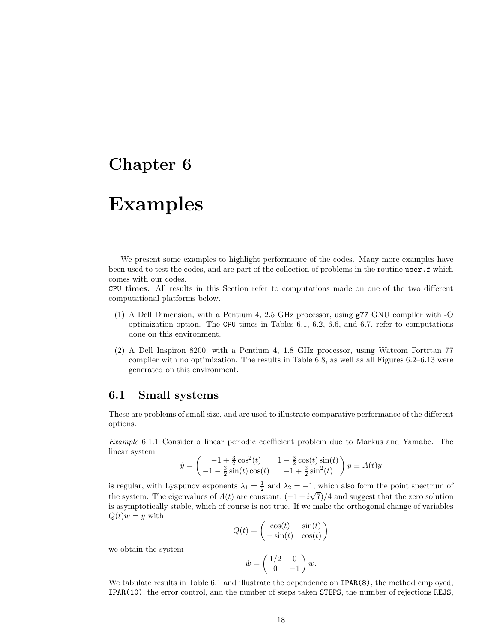# Examples

We present some examples to highlight performance of the codes. Many more examples have been used to test the codes, and are part of the collection of problems in the routine user.f which comes with our codes.

CPU times. All results in this Section refer to computations made on one of the two different computational platforms below.

- (1) A Dell Dimension, with a Pentium 4, 2.5 GHz processor, using g77 GNU compiler with -O optimization option. The CPU times in Tables 6.1, 6.2, 6.6, and 6.7, refer to computations done on this environment.
- (2) A Dell Inspiron 8200, with a Pentium 4, 1.8 GHz processor, using Watcom Fortrtan 77 compiler with no optimization. The results in Table 6.8, as well as all Figures 6.2–6.13 were generated on this environment.

## 6.1 Small systems

These are problems of small size, and are used to illustrate comparative performance of the different options.

Example 6.1.1 Consider a linear periodic coefficient problem due to Markus and Yamabe. The linear system

$$
\dot{y} = \begin{pmatrix} -1 + \frac{3}{2}\cos^2(t) & 1 - \frac{3}{2}\cos(t)\sin(t) \\ -1 - \frac{3}{2}\sin(t)\cos(t) & -1 + \frac{3}{2}\sin^2(t) \end{pmatrix} y \equiv A(t)y
$$

is regular, with Lyapunov exponents  $\lambda_1 = \frac{1}{2}$  and  $\lambda_2 = -1$ , which also form the point spectrum of the system. The eigenvalues of  $A(t)$  are constant,  $\left(-1 \pm i \sqrt{7}\right)/4$  and suggest that the zero solution is asymptotically stable, which of course is not true. If we make the orthogonal change of variables  $Q(t)w = y$  with

$$
Q(t) = \begin{pmatrix} \cos(t) & \sin(t) \\ -\sin(t) & \cos(t) \end{pmatrix}
$$

we obtain the system

$$
\dot{w} = \begin{pmatrix} 1/2 & 0 \\ 0 & -1 \end{pmatrix} w.
$$

We tabulate results in Table 6.1 and illustrate the dependence on **IPAR(8)**, the method employed, IPAR(10), the error control, and the number of steps taken STEPS, the number of rejections REJS,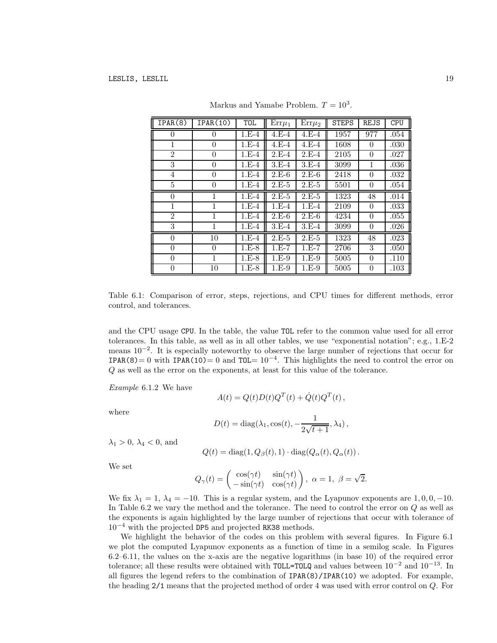| IPAR(8)        | IPAR(10)       | TOL     | $Err\mu_1$ | $Err\mu_2$ | <b>STEPS</b>      | REJS     | <b>CPU</b> |
|----------------|----------------|---------|------------|------------|-------------------|----------|------------|
| $\Omega$       | 0              | $1.E-4$ | $4.E-4$    | $4.E-4$    | 1957              | 977      | .054       |
| 1              | 0              | $1.E-4$ | $4.E-4$    | $4.E-4$    | 1608              | $\theta$ | .030       |
| $\overline{2}$ | $\overline{0}$ | $1.E-4$ | $2.F-4$    | $2.E-4$    | 2105              | $\theta$ | .027       |
| 3              | 0              | $1.E-4$ | $3.E-4$    | $3.E-4$    | 3099              | 1        | .036       |
| 4              | $\theta$       | $1.E-4$ | $2.E-6$    | $2.E-6$    | 2418              | $\theta$ | .032       |
| 5              | 0              | $1.E-4$ | $2.E-5$    | $2.E-5$    | 5501              | $\theta$ | .054       |
| $\theta$       | 1              | $1.E-4$ | $2.E-5$    | $2.E-5$    | $\overline{13}23$ | 48       | .014       |
| 1              | 1              | $1.E-4$ | $1.E-4$    | $1.E-4$    | <b>2109</b>       | $\theta$ | .033       |
| $\overline{2}$ |                | $1.E-4$ | $2.E-6$    | $2.E-6$    | 4234              | $\theta$ | .055       |
| 3              | 1              | $1.E-4$ | $3.E-4$    | $3.E-4$    | 3099              | $\theta$ | .026       |
| $\theta$       | 10             | $1.E-4$ | $2.E-5$    | $2.E-5$    | 1323              | 48       | .023       |
| $\theta$       | 0              | $1.E-8$ | $1.E-7$    | $1.E-7$    | 2706              | 3        | .050       |
| 0              | 1              | $1.E-8$ | $1.E-9$    | $1.E-9$    | 5005              | $\theta$ | .110       |
| 0              | 10             | $1.E-8$ | $1.E-9$    | $1.E-9$    | 5005              | 0        | .103       |

Markus and Yamabe Problem.  $T = 10^3$ .

Table 6.1: Comparison of error, steps, rejections, and CPU times for different methods, error control, and tolerances.

and the CPU usage CPU. In the table, the value TOL refer to the common value used for all error tolerances. In this table, as well as in all other tables, we use "exponential notation"; e.g., 1.E-2 means  $10^{-2}$ . It is especially noteworthy to observe the large number of rejections that occur for IPAR(8) = 0 with IPAR(10) = 0 and TOL=  $10^{-4}$ . This highlights the need to control the error on Q as well as the error on the exponents, at least for this value of the tolerance.

Example 6.1.2 We have

where

$$
D(t) = \text{diag}(\lambda_1, \cos(t), -\frac{1}{2\sqrt{t+1}}, \lambda_4),
$$

 $A(t) = Q(t)D(t)Q^{T}(t) + \dot{Q}(t)Q^{T}(t),$ 

 $\lambda_1 > 0, \lambda_4 < 0$ , and

$$
Q(t) = diag(1, Q_{\beta}(t), 1) \cdot diag(Q_{\alpha}(t), Q_{\alpha}(t)).
$$

We set

$$
Q_{\gamma}(t) = \begin{pmatrix} \cos(\gamma t) & \sin(\gamma t) \\ -\sin(\gamma t) & \cos(\gamma t) \end{pmatrix}, \ \alpha = 1, \ \beta = \sqrt{2}.
$$

We fix  $\lambda_1 = 1$ ,  $\lambda_4 = -10$ . This is a regular system, and the Lyapunov exponents are 1,0,0, -10. In Table 6.2 we vary the method and the tolerance. The need to control the error on Q as well as the exponents is again highlighted by the large number of rejections that occur with tolerance of 10−<sup>4</sup> with the projected DP5 and projected RK38 methods.

We highlight the behavior of the codes on this problem with several figures. In Figure 6.1 we plot the computed Lyapunov exponents as a function of time in a semilog scale. In Figures 6.2–6.11, the values on the x-axis are the negative logarithms (in base 10) of the required error tolerance; all these results were obtained with TOLL=TOLQ and values between  $10^{-2}$  and  $10^{-13}$ . In all figures the legend refers to the combination of IPAR(8)/IPAR(10) we adopted. For example, the heading 2/1 means that the projected method of order 4 was used with error control on Q. For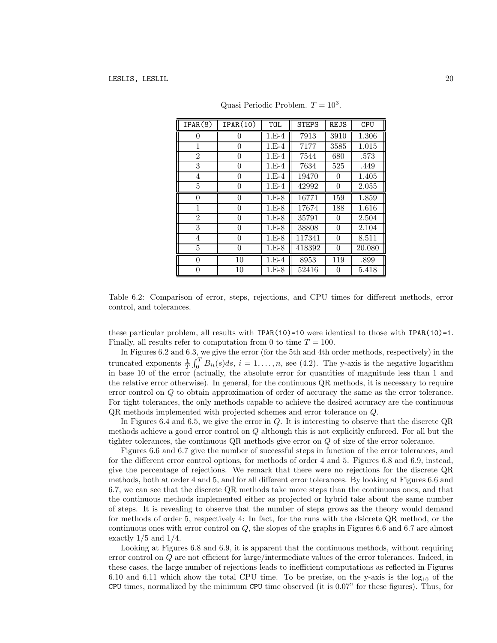| IPAR(8)        | IPAR(10)       | TOL                 | <b>STEPS</b> | <b>REJS</b> | <b>CPU</b> |
|----------------|----------------|---------------------|--------------|-------------|------------|
| $\theta$       | 0              | $1.E-4$             | 7913         | 3910        | 1.306      |
| 1              | $\overline{0}$ | $1.E-4$             | 7177         | 3585        | 1.015      |
| $\overline{2}$ | $\theta$       | $1.E-4$             | 7544         | 680         | .573       |
| 3              | 0              | $1.E-4$             | 7634         | 525         | .449       |
| 4              | $\theta$       | $1.E-4$             | 19470        | 0           | 1.405      |
| 5              | 0              | $1.E-4$             | 42992        | $\theta$    | 2.055      |
| $\theta$       | $\theta$       | $1.E-8$             | 16771        | 159         | 1.859      |
| 1              | $\overline{0}$ | $1.E-8$             | 17674        | 188         | 1.616      |
| $\overline{2}$ | 0              | $1.E-8$             | 35791        | $\theta$    | 2.504      |
| 3              | $\theta$       | $1.E-8$             | 38808        | $\theta$    | 2.104      |
| $\overline{4}$ | $\theta$       | $\overline{1}$ .E-8 | 117341       | $\theta$    | 8.511      |
| 5              | 0              | $1.E-8$             | 418392       | 0           | 20.080     |
| $\Omega$       | 10             | $1.E-4$             | 8953         | 119         | .899       |
| 0              | 10             | $1.E-8$             | 52416        | $\theta$    | 5.418      |

Quasi Periodic Problem.  $T = 10^3$ .

Table 6.2: Comparison of error, steps, rejections, and CPU times for different methods, error control, and tolerances.

these particular problem, all results with IPAR(10)=10 were identical to those with IPAR(10)=1. Finally, all results refer to computation from 0 to time  $T = 100$ .

In Figures 6.2 and 6.3, we give the error (for the 5th and 4th order methods, respectively) in the truncated exponents  $\frac{1}{T} \int_0^T B_{ii}(s)ds$ ,  $i = 1, ..., n$ , see (4.2). The y-axis is the negative logarithm in base 10 of the error (actually, the absolute error for quantities of magnitude less than 1 and the relative error otherwise). In general, for the continuous QR methods, it is necessary to require error control on Q to obtain approximation of order of accuracy the same as the error tolerance. For tight tolerances, the only methods capable to achieve the desired accuracy are the continuous QR methods implemented with projected schemes and error tolerance on Q.

In Figures 6.4 and 6.5, we give the error in Q. It is interesting to observe that the discrete QR methods achieve a good error control on  $Q$  although this is not explicitly enforced. For all but the tighter tolerances, the continuous QR methods give error on Q of size of the error tolerance.

Figures 6.6 and 6.7 give the number of successful steps in function of the error tolerances, and for the different error control options, for methods of order 4 and 5. Figures 6.8 and 6.9, instead, give the percentage of rejections. We remark that there were no rejections for the discrete QR methods, both at order 4 and 5, and for all different error tolerances. By looking at Figures 6.6 and 6.7, we can see that the discrete QR methods take more steps than the continuous ones, and that the continuous methods implemented either as projected or hybrid take about the same number of steps. It is revealing to observe that the number of steps grows as the theory would demand for methods of order 5, respectively 4: In fact, for the runs with the dsicrete QR method, or the continuous ones with error control on Q, the slopes of the graphs in Figures 6.6 and 6.7 are almost exactly  $1/5$  and  $1/4$ .

Looking at Figures 6.8 and 6.9, it is apparent that the continuous methods, without requiring error control on Q are not efficient for large/intermediate values of the error tolerances. Indeed, in these cases, the large number of rejections leads to inefficient computations as reflected in Figures 6.10 and 6.11 which show the total CPU time. To be precise, on the y-axis is the  $log_{10}$  of the CPU times, normalized by the minimum CPU time observed (it is 0.07" for these figures). Thus, for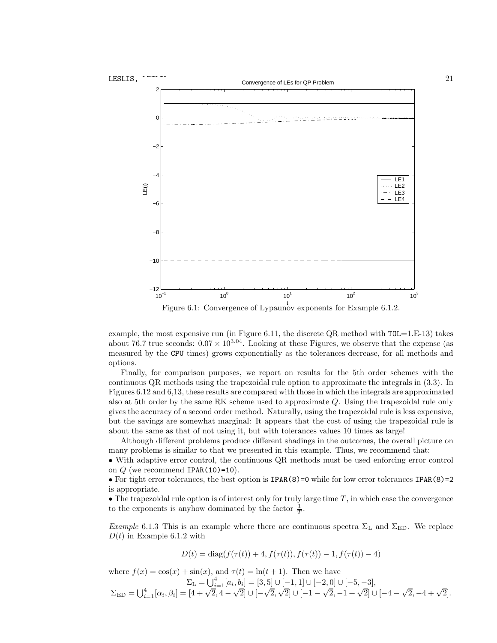

example, the most expensive run (in Figure 6.11, the discrete QR method with  $TOL=1.E-13$ ) takes about 76.7 true seconds:  $0.07 \times 10^{3.04}$ . Looking at these Figures, we observe that the expense (as measured by the CPU times) grows exponentially as the tolerances decrease, for all methods and options.

Finally, for comparison purposes, we report on results for the 5th order schemes with the continuous QR methods using the trapezoidal rule option to approximate the integrals in (3.3). In Figures 6.12 and 6,13, these results are compared with those in which the integrals are approximated also at 5th order by the same RK scheme used to approximate Q. Using the trapezoidal rule only gives the accuracy of a second order method. Naturally, using the trapezoidal rule is less expensive, but the savings are somewhat marginal: It appears that the cost of using the trapezoidal rule is about the same as that of not using it, but with tolerances values 10 times as large!

Although different problems produce different shadings in the outcomes, the overall picture on many problems is similar to that we presented in this example. Thus, we recommend that:

• With adaptive error control, the continuous QR methods must be used enforcing error control on  $Q$  (we recommend IPAR(10)=10).

• For tight error tolerances, the best option is IPAR(8)=0 while for low error tolerances IPAR(8)=2 is appropriate.

• The trapezoidal rule option is of interest only for truly large time  $T$ , in which case the convergence to the exponents is anyhow dominated by the factor  $\frac{1}{T}$ .

Example 6.1.3 This is an example where there are continuous spectra  $\Sigma_{\rm L}$  and  $\Sigma_{\rm ED}$ . We replace  $D(t)$  in Example 6.1.2 with

$$
D(t) = diag(f(\tau(t)) + 4, f(\tau(t)), f(\tau(t)) - 1, f(\tau(t)) - 4)
$$

where  $f(x) = \cos(x) + \sin(x)$ , and  $\tau(t) = \ln(t+1)$ . Then we have  $\Sigma_{\text{L}} = \bigcup_{i=1}^{4} [a_i, b_i] = [3, 5] \cup [-1, 1] \cup [-2, 0] \cup [-5, -3],$  $\Sigma_{\rm ED} = \bigcup_{i=1}^4 [\alpha_i, \beta_i] = [4 + \sqrt{2}, 4 - \sqrt{2}] \cup [-\sqrt{2}, \sqrt{2}] \cup [-1 - \sqrt{2}, -1 + \sqrt{2}] \cup [-4 - \sqrt{2}, -4 + \sqrt{2}].$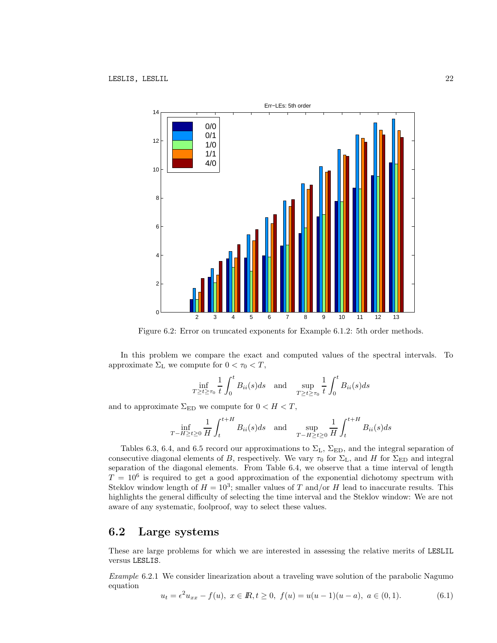

Figure 6.2: Error on truncated exponents for Example 6.1.2: 5th order methods.

In this problem we compare the exact and computed values of the spectral intervals. To approximate  $\Sigma_L$  we compute for  $0 < \tau_0 < T$ ,

$$
\inf_{T \ge t \ge \tau_0} \frac{1}{t} \int_0^t B_{ii}(s) ds \quad \text{and} \quad \sup_{T \ge t \ge \tau_0} \frac{1}{t} \int_0^t B_{ii}(s) ds
$$

and to approximate  $\Sigma_{ED}$  we compute for  $0 < H < T$ ,

$$
\inf_{T-H \ge t \ge 0} \frac{1}{H} \int_{t}^{t+H} B_{ii}(s)ds \quad \text{and} \quad \sup_{T-H \ge t \ge 0} \frac{1}{H} \int_{t}^{t+H} B_{ii}(s)ds
$$

Tables 6.3, 6.4, and 6.5 record our approximations to  $\Sigma_{\rm L}$ ,  $\Sigma_{\rm ED}$ , and the integral separation of consecutive diagonal elements of B, respectively. We vary  $\tau_0$  for  $\Sigma_{\rm L}$ , and H for  $\Sigma_{\rm ED}$  and integral separation of the diagonal elements. From Table 6.4, we observe that a time interval of length  $T = 10<sup>6</sup>$  is required to get a good approximation of the exponential dichotomy spectrum with Steklov window length of  $H = 10^3$ ; smaller values of T and/or H lead to inaccurate results. This highlights the general difficulty of selecting the time interval and the Steklov window: We are not aware of any systematic, foolproof, way to select these values.

### 6.2 Large systems

These are large problems for which we are interested in assessing the relative merits of LESLIL versus LESLIS.

Example 6.2.1 We consider linearization about a traveling wave solution of the parabolic Nagumo equation

$$
u_t = \epsilon^2 u_{xx} - f(u), \ x \in \mathbb{R}, t \ge 0, \ f(u) = u(u-1)(u-a), \ a \in (0,1). \tag{6.1}
$$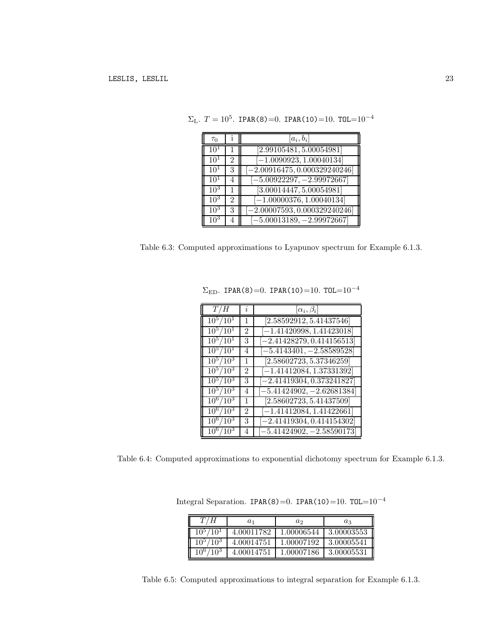| $\tau_0$ |                             | $ a_i, b_i $                    |
|----------|-----------------------------|---------------------------------|
| $10^{1}$ |                             | [2.99105481, 5.00054981]        |
| $10^{1}$ | $\mathcal{D}_{\mathcal{L}}$ | $[-1.0090923, 1.00040134]$      |
| $10^{1}$ | 3                           | $[-2.00916475, 0.000329240246]$ |
| $10^{1}$ |                             | $[-5.00922297, -2.99972667]$    |
| $10^{3}$ | 1                           | [3.00014447, 5.00054981]        |
| $10^{3}$ | $\mathfrak{D}$              | $[-1.00000376, 1.00040134]$     |
| $10^{3}$ | 3                           | $[-2.00007593, 0.000329240246]$ |
| $10^{3}$ |                             | $-5.00013189, -2.99972667$      |

 $\Sigma_{\rm L}$ .  $T=10^5$ . IPAR(8)=0. IPAR(10)=10. TOL=10<sup>-4</sup>

Table 6.3: Computed approximations to Lyapunov spectrum for Example 6.1.3.

| T/H                    | $\imath$       | $[\alpha_i,\beta_i]$                     |
|------------------------|----------------|------------------------------------------|
| $10^{5}/10^{1}$        | 1              | [2.58592912, 5.41437546]                 |
| $10^5/10^1$            | $\mathfrak{D}$ | $[-1.41420998, 1.41423018]$              |
| $10^5/10^1$            | 3              | $[-2.41428279, 0.414156513]$             |
| $10^5/10^1$            | 4              | $[-5.4143401, -2.58589528]$              |
| $10^5/10^3$            | 1              | [2.58602723, 5.37346259]                 |
| $10^5/10^3$            | $\overline{2}$ | $[-1.41412084, 1.37331392]$              |
| $10^5/10^3$            | 3              | $[-2.41419304, 0.373241827]$             |
| $10^5/10^3$            | 4              | $[-5.41424902, -2.62681384]$             |
| $10^6/10^3$            | 1              | [2.58602723, 5.41437509]                 |
| $10^6/10^3$            | $\overline{2}$ | $[-1.41412084, 1.41422661]$              |
| $\overline{10^6}/10^3$ | 3              | $[-2.41419304, 0.414154302]$             |
| $10^6/10^3$            | 4              | $\overline{-5.41424902}$ , $-2.58590173$ |

 $\Sigma_{\rm ED}$ . IPAR(8)=0. IPAR(10)=10. TOL=10<sup>-4</sup>

Table 6.4: Computed approximations to exponential dichotomy spectrum for Example 6.1.3.

Integral Separation. IPAR(8)=0. IPAR(10)=10. TOL= $10^{-4}$ 

| Н                            | $a_1$      | $a_2$      | $a_3$      |
|------------------------------|------------|------------|------------|
| $10^{1}$<br>10 <sup>5.</sup> | 4.00011782 | 1.00006544 | 3.00003553 |
| '10 <sup>3</sup><br>10þ      | 4.00014751 | 1.00007192 | 3.00005541 |
| ำ∩3⊹<br>106                  | 4.00014751 | 1 00007186 | 3.00005531 |

Table 6.5: Computed approximations to integral separation for Example 6.1.3.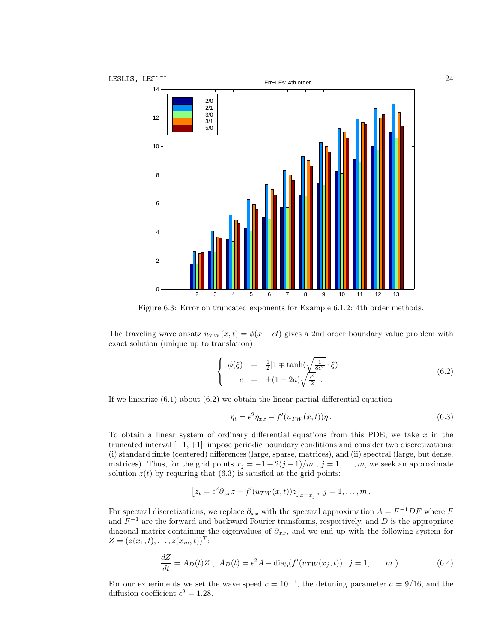

Figure 6.3: Error on truncated exponents for Example 6.1.2: 4th order methods.

The traveling wave ansatz  $u_{TW}(x,t) = \phi(x-ct)$  gives a 2nd order boundary value problem with exact solution (unique up to translation)

$$
\begin{cases}\n\phi(\xi) = \frac{1}{2}[1 \mp \tanh(\sqrt{\frac{1}{8\epsilon^2}} \cdot \xi)] \\
c = \pm (1 - 2a)\sqrt{\frac{\epsilon^2}{2}}.\n\end{cases}
$$
\n(6.2)

If we linearize  $(6.1)$  about  $(6.2)$  we obtain the linear partial differential equation

$$
\eta_t = \epsilon^2 \eta_{xx} - f'(u_{TW}(x,t))\eta. \tag{6.3}
$$

To obtain a linear system of ordinary differential equations from this PDE, we take  $x$  in the truncated interval  $[-1, +1]$ , impose periodic boundary conditions and consider two discretizations: (i) standard finite (centered) differences (large, sparse, matrices), and (ii) spectral (large, but dense, matrices). Thus, for the grid points  $x_j = -1 + 2(j - 1)/m$ ,  $j = 1, ..., m$ , we seek an approximate solution  $z(t)$  by requiring that (6.3) is satisfied at the grid points:

$$
[z_t = \epsilon^2 \partial_{xx} z - f'(u_{TW}(x,t))z]_{x=x_j}, \ j = 1, \ldots, m.
$$

For spectral discretizations, we replace  $\partial_{xx}$  with the spectral approximation  $A = F^{-1}DF$  where F and  $F^{-1}$  are the forward and backward Fourier transforms, respectively, and D is the appropriate diagonal matrix containing the eigenvalues of  $\partial_{xx}$ , and we end up with the following system for  $Z = (z(x_1, t), \ldots, z(x_m, t))^T$ :

$$
\frac{dZ}{dt} = A_D(t)Z \ , \ A_D(t) = \epsilon^2 A - \text{diag}(f'(u_{TW}(x_j, t)), \ j = 1, \dots, m) \,. \tag{6.4}
$$

For our experiments we set the wave speed  $c = 10^{-1}$ , the detuning parameter  $a = 9/16$ , and the diffusion coefficient  $\epsilon^2 = 1.28$ .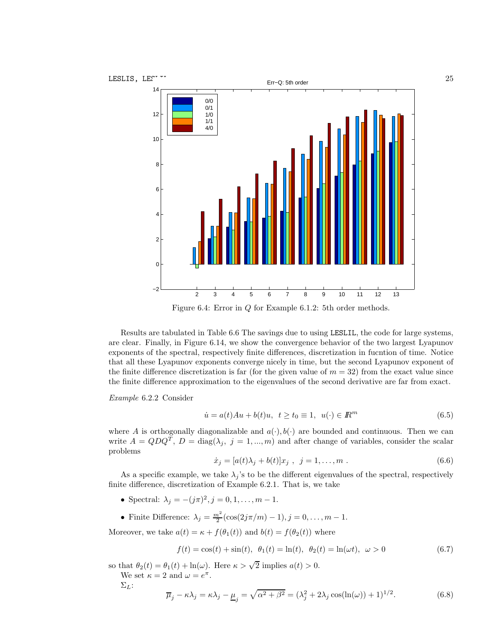

Figure 6.4: Error in Q for Example 6.1.2: 5th order methods.

Results are tabulated in Table 6.6 The savings due to using LESLIL, the code for large systems, are clear. Finally, in Figure 6.14, we show the convergence behavior of the two largest Lyapunov exponents of the spectral, respectively finite differences, discretization in fucntion of time. Notice that all these Lyapunov exponents converge nicely in time, but the second Lyapunov exponent of the finite difference discretization is far (for the given value of  $m = 32$ ) from the exact value since the finite difference approximation to the eigenvalues of the second derivative are far from exact.

Example 6.2.2 Consider

$$
\dot{u} = a(t)Au + b(t)u, \ t \ge t_0 \equiv 1, \ u(\cdot) \in \mathbb{R}^m
$$
\n(6.5)

where A is orthogonally diagonalizable and  $a(\cdot), b(\cdot)$  are bounded and continuous. Then we can write  $A = QDQ^T$ ,  $D = \text{diag}(\lambda_j, j = 1, ..., m)$  and after change of variables, consider the scalar problems

$$
\dot{x}_j = [a(t)\lambda_j + b(t)]x_j \, , \, j = 1, \dots, m \, . \tag{6.6}
$$

As a specific example, we take  $\lambda_i$ 's to be the different eigenvalues of the spectral, respectively finite difference, discretization of Example 6.2.1. That is, we take

- Spectral:  $\lambda_j = -(j\pi)^2, j = 0, 1, ..., m 1.$
- Finite Difference:  $\lambda_j = \frac{m^2}{2} (\cos(2j\pi/m) 1), j = 0, ..., m 1.$

Moreover, we take  $a(t) = \kappa + f(\theta_1(t))$  and  $b(t) = f(\theta_2(t))$  where

$$
f(t) = \cos(t) + \sin(t), \ \ \theta_1(t) = \ln(t), \ \ \theta_2(t) = \ln(\omega t), \ \ \omega > 0 \tag{6.7}
$$

so that  $\theta_2(t) = \theta_1(t) + \ln(\omega)$ . Here  $\kappa > \sqrt{2}$  implies  $a(t) > 0$ .

We set  $\kappa = 2$  and  $\omega = e^{\pi}$ .

 $\Sigma_L$ :

$$
\overline{\mu}_j - \kappa \lambda_j = \kappa \lambda_j - \underline{\mu}_j = \sqrt{\alpha^2 + \beta^2} = (\lambda_j^2 + 2\lambda_j \cos(\ln(\omega)) + 1)^{1/2}.
$$
 (6.8)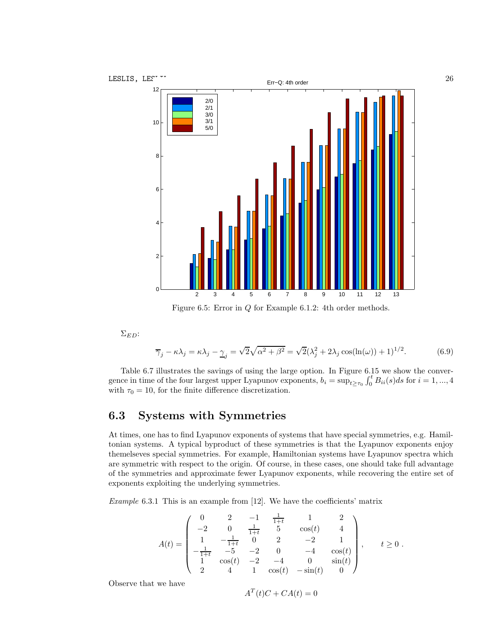

Figure 6.5: Error in Q for Example 6.1.2: 4th order methods.

 $\Sigma_{ED}$ :

$$
\overline{\gamma}_j - \kappa \lambda_j = \kappa \lambda_j - \underline{\gamma}_j = \sqrt{2} \sqrt{\alpha^2 + \beta^2} = \sqrt{2} (\lambda_j^2 + 2\lambda_j \cos(\ln(\omega)) + 1)^{1/2}.
$$
 (6.9)

Table 6.7 illustrates the savings of using the large option. In Figure 6.15 we show the convergence in time of the four largest upper Lyapunov exponents,  $b_i = \sup_{t \ge \tau_0} \int_0^t B_{ii}(s) ds$  for  $i = 1, ..., 4$ with  $\tau_0 = 10$ , for the finite difference discretization.

## 6.3 Systems with Symmetries

At times, one has to find Lyapunov exponents of systems that have special symmetries, e.g. Hamiltonian systems. A typical byproduct of these symmetries is that the Lyapunov exponents enjoy themelseves special symmetries. For example, Hamiltonian systems have Lyapunov spectra which are symmetric with respect to the origin. Of course, in these cases, one should take full advantage of the symmetries and approximate fewer Lyapunov exponents, while recovering the entire set of exponents exploiting the underlying symmetries.

Example 6.3.1 This is an example from [12]. We have the coefficients' matrix

$$
A(t) = \begin{pmatrix} 0 & 2 & -1 & \frac{1}{1+t} & 1 & 2 \\ -2 & 0 & \frac{1}{1+t} & 5 & \cos(t) & 4 \\ 1 & -\frac{1}{1+t} & 0 & 2 & -2 & 1 \\ -\frac{1}{1+t} & -5 & -2 & 0 & -4 & \cos(t) \\ 1 & \cos(t) & -2 & -4 & 0 & \sin(t) \\ 2 & 4 & 1 & \cos(t) & -\sin(t) & 0 \end{pmatrix}, \qquad t \ge 0.
$$

Observe that we have

$$
A^T(t)C + CA(t) = 0
$$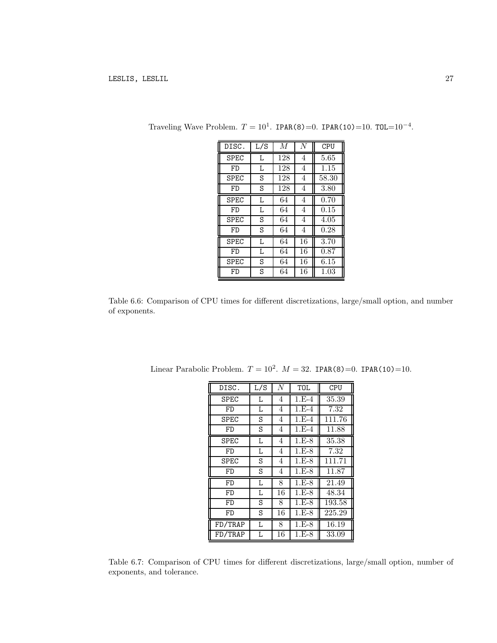| DISC.       | L/S | $\overline{M}$ | $\overline{N}$ | CPU   |
|-------------|-----|----------------|----------------|-------|
| <b>SPEC</b> | L   | 128            | 4              | 5.65  |
| FD          | L   | 128            | 4              | 1.15  |
| SPEC        | S   | 128            | 4              | 58.30 |
| FD          | S   | 128            | 4              | 3.80  |
| SPEC        | L   | 64             | 4              | 0.70  |
| FD          | L   | 64             | 4              | 0.15  |
| SPEC        | S   | 64             | 4              | 4.05  |
| FD          | S   | 64             | 4              | 0.28  |
| <b>SPEC</b> | L   | 64             | 16             | 3.70  |
| FD          | L   | 64             | 16             | 0.87  |
| SPEC        | S   | 64             | 16             | 6.15  |
| FD          | S   | 64             | 16             | 1.03  |

Traveling Wave Problem.  $T = 10^1$ . IPAR(8)=0. IPAR(10)=10. TOL=10<sup>-4</sup>.

Table 6.6: Comparison of CPU times for different discretizations, large/small option, and number of exponents.

| DISC.   | L/S | $\overline{N}$ | <b>TOL</b> | CPU    |
|---------|-----|----------------|------------|--------|
| SPEC    | L   | 4              | $1.E-4$    | 35.39  |
| FD      | L   | 4              | $1.E-4$    | 7.32   |
| SPEC    | S   | 4              | $1.E-4$    | 111.76 |
| FD      | S   | 4              | $1.E-4$    | 11.88  |
| SPEC    | L   | 4              | $1.E-8$    | 35.38  |
| FD      | L   | 4              | $1.E-8$    | 7.32   |
| SPEC    | S   | 4              | $1.E-8$    | 111.71 |
| FD      | S   | 4              | $1.E-8$    | 11.87  |
| FD      | T.  | 8              | $1.E-8$    | 21.49  |
| FD      | L   | 16             | $1.E-8$    | 48.34  |
| FD      | S   | 8              | $1.E-8$    | 193.58 |
| FD      | S   | 16             | $1.E-8$    | 225.29 |
| FD/TRAP | T.  | 8              | $1.E-8$    | 16.19  |
| FD/TRAP | T.  | 16             | $1.E-8$    | 33.09  |

Linear Parabolic Problem.  $T = 10^2$ .  $M = 32$ . IPAR(8)=0. IPAR(10)=10.

Table 6.7: Comparison of CPU times for different discretizations, large/small option, number of exponents, and tolerance.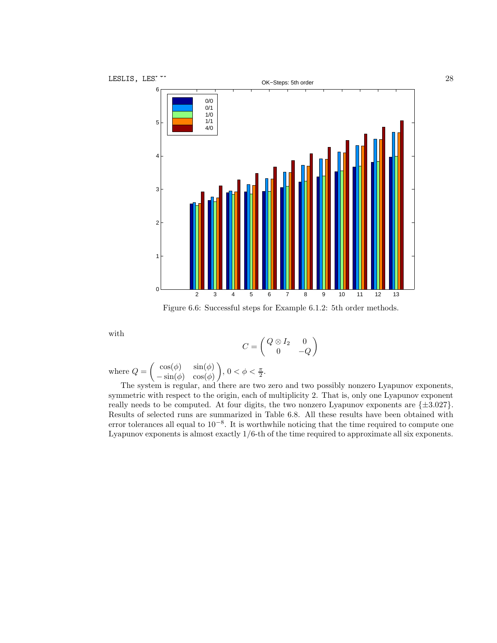

Figure 6.6: Successful steps for Example 6.1.2: 5th order methods.

with

$$
C = \begin{pmatrix} Q \otimes I_2 & 0 \\ 0 & -Q \end{pmatrix}
$$

where  $Q =$  $\int \cos(\phi) \sin(\phi)$  $-\sin(\phi)$   $\cos(\phi)$  $\overline{ }$ ,  $0 < \phi < \frac{\pi}{2}$ .

The system is regular, and there are two zero and two possibly nonzero Lyapunov exponents, symmetric with respect to the origin, each of multiplicity 2. That is, only one Lyapunov exponent really needs to be computed. At four digits, the two nonzero Lyapunov exponents are  $\{\pm 3.027\}$ . Results of selected runs are summarized in Table 6.8. All these results have been obtained with error tolerances all equal to  $10^{-8}$ . It is worthwhile noticing that the time required to compute one Lyapunov exponents is almost exactly 1/6-th of the time required to approximate all six exponents.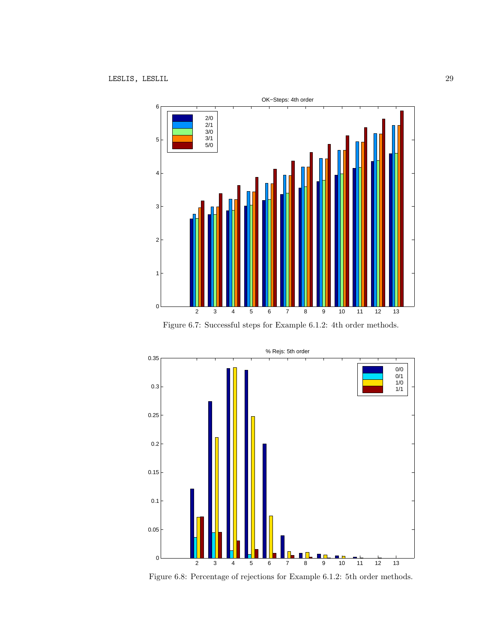

Figure 6.7: Successful steps for Example 6.1.2: 4th order methods.



Figure 6.8: Percentage of rejections for Example 6.1.2: 5th order methods.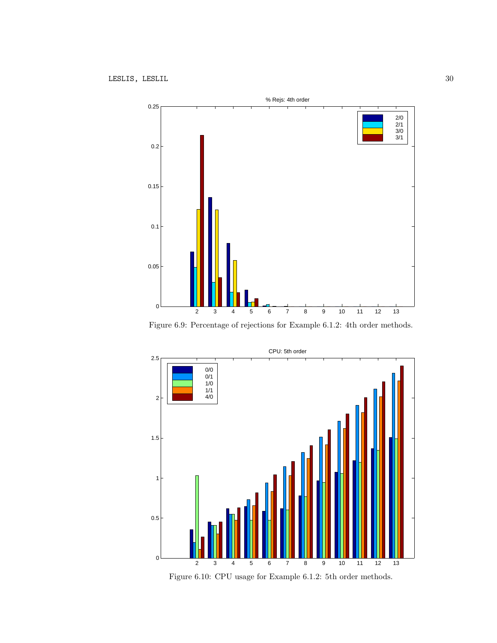

Figure 6.9: Percentage of rejections for Example 6.1.2: 4th order methods.



Figure 6.10: CPU usage for Example 6.1.2: 5th order methods.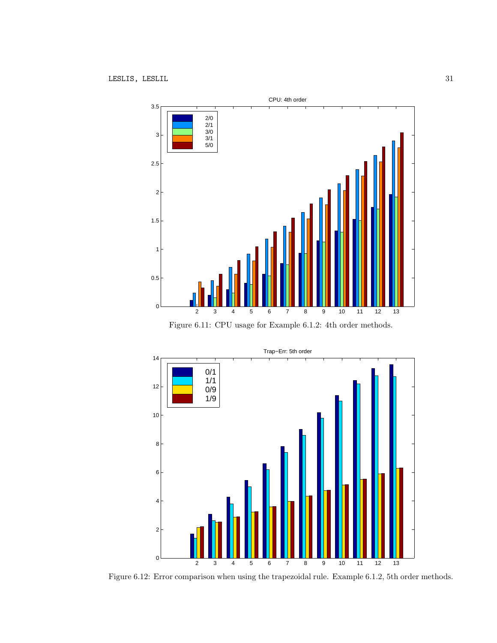

Figure 6.11: CPU usage for Example 6.1.2: 4th order methods.



Figure 6.12: Error comparison when using the trapezoidal rule. Example 6.1.2, 5th order methods.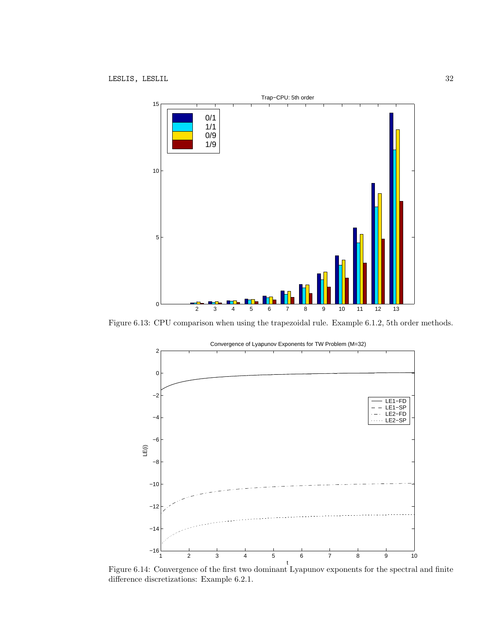

Figure 6.13: CPU comparison when using the trapezoidal rule. Example 6.1.2, 5th order methods.



Figure 6.14: Convergence of the first two dominant Lyapunov exponents for the spectral and finite difference discretizations: Example 6.2.1.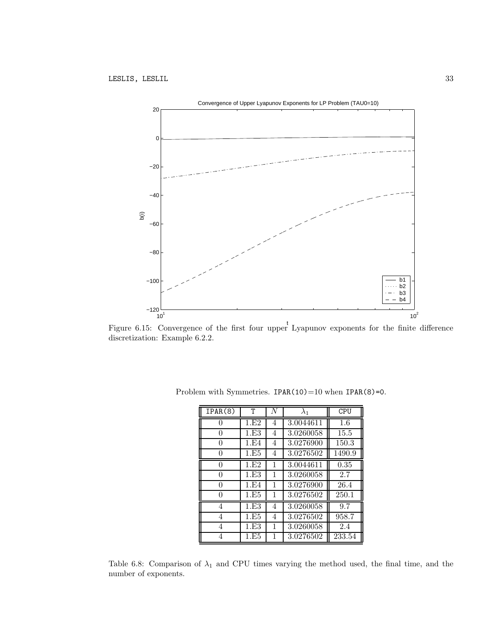

t Figure 6.15: Convergence of the first four upper Lyapunov exponents for the finite difference discretization: Example 6.2.2.

| IPAR(8) | Τ    | N | $\lambda_1$ | CPU    |
|---------|------|---|-------------|--------|
| 0       | 1.E2 | 4 | 3.0044611   | 1.6    |
| 0       | 1.E3 | 4 | 3.0260058   | 15.5   |
| 0       | 1.E4 | 4 | 3.0276900   | 150.3  |
| 0       | 1.E5 | 4 | 3.0276502   | 1490.9 |
| 0       | 1.E2 | 1 | 3.0044611   | 0.35   |
| 0       | 1.E3 | 1 | 3.0260058   | 2.7    |
| 0       | 1.E4 | 1 | 3.0276900   | 26.4   |
| 0       | 1.E5 | 1 | 3.0276502   | 250.1  |
| 4       | 1.E3 | 4 | 3.0260058   | 9.7    |
| 4       | 1.E5 | 4 | 3.0276502   | 958.7  |
| 4       | 1.E3 | 1 | 3.0260058   | 2.4    |
|         | 1.E5 | 1 | 3.0276502   | 233.54 |

Problem with Symmetries. IPAR(10)=10 when IPAR(8)=0.

Table 6.8: Comparison of  $\lambda_1$  and CPU times varying the method used, the final time, and the number of exponents.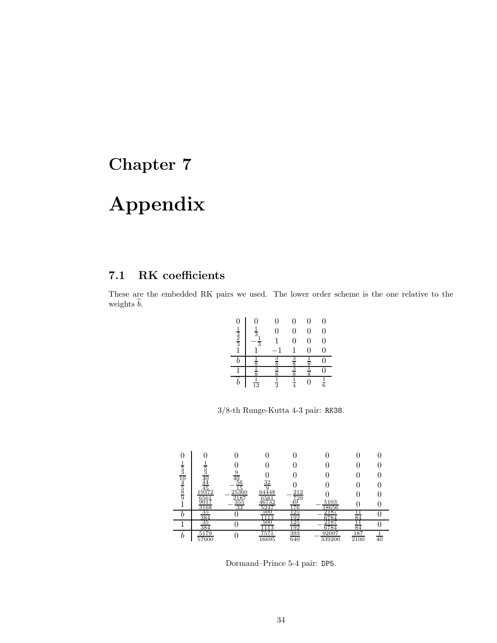# Appendix

## 7.1 RK coefficients

These are the embedded RK pairs we used. The lower order scheme is the one relative to the weights  $\hat{b}$ .

| $\boldsymbol{0}$<br>$\frac{1}{3}$ $\frac{3}{3}$ $\frac{1}{1}$ | 0<br>$\frac{1}{3}$<br>$\frac{1}{3}$ | $\overline{0}$<br>0 | 0<br>0<br>0 | $\overline{0}$<br>0<br>0 | n<br>D |
|---------------------------------------------------------------|-------------------------------------|---------------------|-------------|--------------------------|--------|
|                                                               |                                     |                     |             | 0                        |        |
|                                                               |                                     | 3<br>8              | 3<br>Ş      |                          |        |
|                                                               |                                     | ą                   |             |                          |        |
| b                                                             | $\frac{1}{12}$                      | 1<br>$\frac{1}{2}$  | 4           |                          | 6      |

3/8-th Runge-Kutta 4-3 pair: RK38.

| $\frac{10}{4}$ |               | $^{40}_{56}$                | 32            |            |                 |             |    |
|----------------|---------------|-----------------------------|---------------|------------|-----------------|-------------|----|
| $rac{5}{9}$    | ر<br>9372     | 25360<br>$\frac{2187}{355}$ | 64448<br>656  | 212<br>729 |                 |             |    |
|                | 3168          | 33                          | 5247          | 76         | 5103<br>18656   |             |    |
|                | 35<br>384     |                             | 500<br>113    | 25<br>92   | 218′<br>6784    | 84          |    |
|                | 35<br>384     |                             | 500<br>113    | 125<br>92  | 218′<br>6784    | 84          |    |
|                | 5179<br>57600 |                             | 7571<br>16695 | 393<br>640 | 92097<br>339200 | 187<br>2100 | 40 |

Dormand–Prince 5-4 pair: DP5.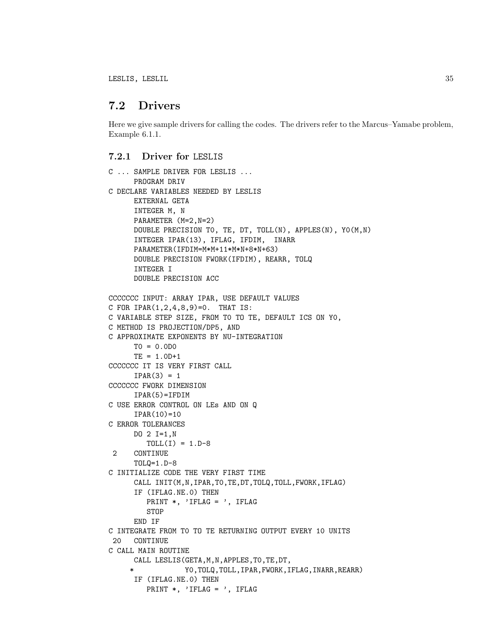## 7.2 Drivers

Here we give sample drivers for calling the codes. The drivers refer to the Marcus–Yamabe problem, Example 6.1.1.

### 7.2.1 Driver for LESLIS

```
C ... SAMPLE DRIVER FOR LESLIS ...
     PROGRAM DRIV
C DECLARE VARIABLES NEEDED BY LESLIS
      EXTERNAL GETA
     INTEGER M, N
     PARAMETER (M=2,N=2)
     DOUBLE PRECISION T0, TE, DT, TOLL(N), APPLES(N), Y0(M,N)
     INTEGER IPAR(13), IFLAG, IFDIM, INARR
     PARAMETER(IFDIM=M*M+11*M*N+8*N+63)
     DOUBLE PRECISION FWORK(IFDIM), REARR, TOLQ
     INTEGER I
     DOUBLE PRECISION ACC
CCCCCCC INPUT: ARRAY IPAR, USE DEFAULT VALUES
C FOR IPAR(1,2,4,8,9)=0. THAT IS:
C VARIABLE STEP SIZE, FROM T0 TO TE, DEFAULT ICS ON Y0,
C METHOD IS PROJECTION/DP5, AND
C APPROXIMATE EXPONENTS BY NU-INTEGRATION
     TO = 0.0D0TE = 1.0D+1
CCCCCCC IT IS VERY FIRST CALL
     IPAR(3) = 1CCCCCCC FWORK DIMENSION
      IPAR(5)=IFDIM
C USE ERROR CONTROL ON LEs AND ON Q
      IPAR(10)=10
C ERROR TOLERANCES
     DO 2 I=1,N
        TOLL(I) = 1.D-82 CONTINUE
     TOLQ=1.D-8
C INITIALIZE CODE THE VERY FIRST TIME
     CALL INIT(M,N,IPAR,T0,TE,DT,TOLQ,TOLL,FWORK,IFLAG)
      IF (IFLAG.NE.0) THEN
        PRINT *, 'IFLAG = ', IFLAG
        STOP
     END IF
C INTEGRATE FROM T0 TO TE RETURNING OUTPUT EVERY 10 UNITS
20 CONTINUE
C CALL MAIN ROUTINE
     CALL LESLIS(GETA,M,N,APPLES,T0,TE,DT,
                  * Y0,TOLQ,TOLL,IPAR,FWORK,IFLAG,INARR,REARR)
     IF (IFLAG.NE.0) THEN
        PRINT *, 'IFLAG = ', IFLAG
```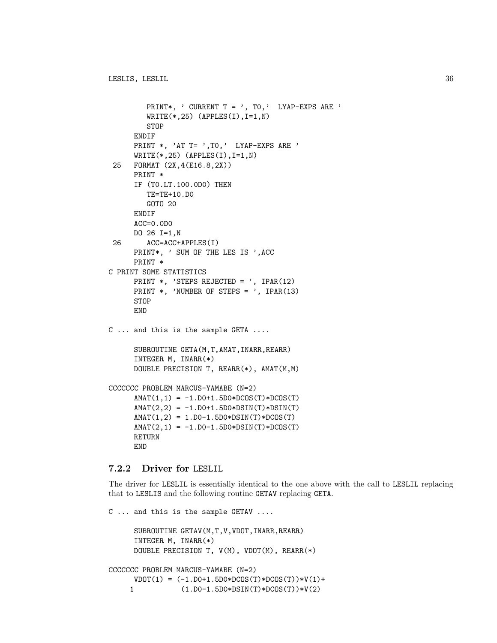```
PRINT*, ' CURRENT T = ', TO, ' LYAP-EXPS ARE '
         WRITE(*, 25) (APPLES(I), I=1, N)
         STOP
      ENDIF
     PRINT *, 'AT T= ', TO,' LYAP-EXPS ARE '
     WRITE(*, 25) (APPLES(I), I=1,N)
 25 FORMAT (2X,4(E16.8,2X))
     PRINT *
     IF (T0.LT.100.0D0) THEN
         TE=TE+10.D0
         GOTO 20
     ENDIF
     ACC=0.0D0
     DO 26 I=1,N
 26 ACC=ACC+APPLES(I)
     PRINT*, ' SUM OF THE LES IS ',ACC
     PRINT *
C PRINT SOME STATISTICS
     PRINT *, 'STEPS REJECTED = ', IPAR(12)
     PRINT *, 'NUMBER OF STEPS = ', IPAR(13)
     STOP
     END
C ... and this is the sample GETA ....
      SUBROUTINE GETA(M, T, AMAT, INARR, REARR)
      INTEGER M, INARR(*)
      DOUBLE PRECISION T, REARR(*), AMAT(M,M)
CCCCCCC PROBLEM MARCUS-YAMABE (N=2)
      AMAT(1,1) = -1. DO+1.5D0*DCOS(T)*DCOS(T)
      AMAT(2,2) = -1. DO+1.5D0*DSIN(T)*DSIN(T)
      AMAT(1,2) = 1. DO-1.5D0*DSIN(T)*DCOS(T)
      AMAT(2,1) = -1.DD-1.5DD*DSIN(T)*DCOS(T)RETURN
     END
```
### 7.2.2 Driver for LESLIL

The driver for LESLIL is essentially identical to the one above with the call to LESLIL replacing that to LESLIS and the following routine GETAV replacing GETA.

```
C ... and this is the sample GETAV ....
     SUBROUTINE GETAV(M, T, V, VDOT, INARR, REARR)
     INTEGER M, INARR(*)
     DOUBLE PRECISION T, V(M), VDOT(M), REARR(*)
CCCCCCC PROBLEM MARCUS-YAMABE (N=2)
     VDOT(1) = (-1. D0+1.5D0*DCOS(T)*DCOS(T))*V(1)+1 (1.D0-1.5D0*DSIN(T)*DCOS(T))*V(2)
```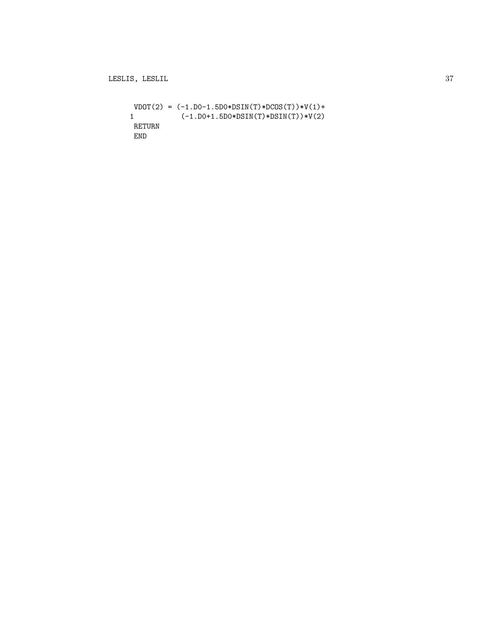```
VDOT(2) = (-1.DD-1.5DO*DSIN(T)*DCOS(T))*V(1)+1 (-1.D0+1.5D0*DSIN(T)*DSIN(T))*V(2)
RETURN
END
```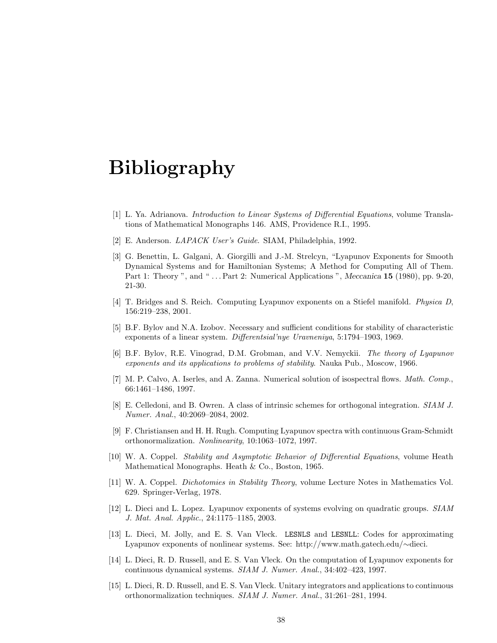# Bibliography

- [1] L. Ya. Adrianova. Introduction to Linear Systems of Differential Equations, volume Translations of Mathematical Monographs 146. AMS, Providence R.I., 1995.
- [2] E. Anderson. LAPACK User's Guide. SIAM, Philadelphia, 1992.
- [3] G. Benettin, L. Galgani, A. Giorgilli and J.-M. Strelcyn, "Lyapunov Exponents for Smooth Dynamical Systems and for Hamiltonian Systems; A Method for Computing All of Them. Part 1: Theory ", and " . . . Part 2: Numerical Applications ", Meccanica 15 (1980), pp. 9-20, 21-30.
- [4] T. Bridges and S. Reich. Computing Lyapunov exponents on a Stiefel manifold. Physica D, 156:219–238, 2001.
- [5] B.F. Bylov and N.A. Izobov. Necessary and sufficient conditions for stability of characteristic exponents of a linear system. Differentsial'nye Uravneniya, 5:1794–1903, 1969.
- [6] B.F. Bylov, R.E. Vinograd, D.M. Grobman, and V.V. Nemyckii. The theory of Lyapunov exponents and its applications to problems of stability. Nauka Pub., Moscow, 1966.
- [7] M. P. Calvo, A. Iserles, and A. Zanna. Numerical solution of isospectral flows. Math. Comp., 66:1461–1486, 1997.
- [8] E. Celledoni, and B. Owren. A class of intrinsic schemes for orthogonal integration. SIAM J. Numer. Anal., 40:2069–2084, 2002.
- [9] F. Christiansen and H. H. Rugh. Computing Lyapunov spectra with continuous Gram-Schmidt orthonormalization. Nonlinearity, 10:1063–1072, 1997.
- [10] W. A. Coppel. Stability and Asymptotic Behavior of Differential Equations, volume Heath Mathematical Monographs. Heath & Co., Boston, 1965.
- [11] W. A. Coppel. Dichotomies in Stability Theory, volume Lecture Notes in Mathematics Vol. 629. Springer-Verlag, 1978.
- [12] L. Dieci and L. Lopez. Lyapunov exponents of systems evolving on quadratic groups. SIAM J. Mat. Anal. Applic., 24:1175–1185, 2003.
- [13] L. Dieci, M. Jolly, and E. S. Van Vleck. LESNLS and LESNLL: Codes for approximating Lyapunov exponents of nonlinear systems. See: http://www.math.gatech.edu/∼dieci.
- [14] L. Dieci, R. D. Russell, and E. S. Van Vleck. On the computation of Lyapunov exponents for continuous dynamical systems. SIAM J. Numer. Anal., 34:402–423, 1997.
- [15] L. Dieci, R. D. Russell, and E. S. Van Vleck. Unitary integrators and applications to continuous orthonormalization techniques. SIAM J. Numer. Anal., 31:261–281, 1994.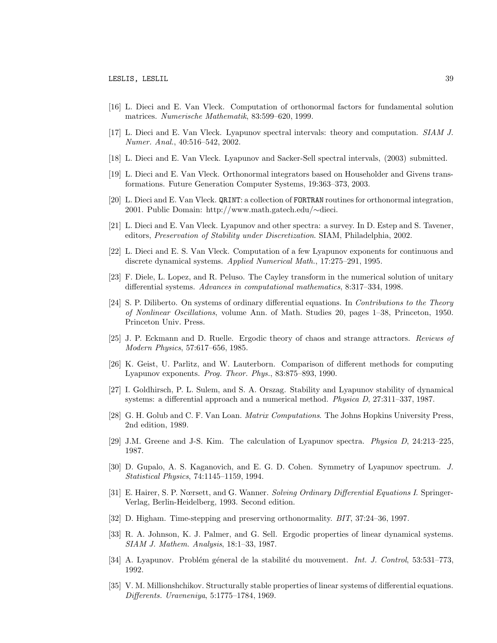- [16] L. Dieci and E. Van Vleck. Computation of orthonormal factors for fundamental solution matrices. Numerische Mathematik, 83:599–620, 1999.
- [17] L. Dieci and E. Van Vleck. Lyapunov spectral intervals: theory and computation. SIAM J. Numer. Anal., 40:516–542, 2002.
- [18] L. Dieci and E. Van Vleck. Lyapunov and Sacker-Sell spectral intervals, (2003) submitted.
- [19] L. Dieci and E. Van Vleck. Orthonormal integrators based on Householder and Givens transformations. Future Generation Computer Systems, 19:363–373, 2003.
- [20] L. Dieci and E. Van Vleck. QRINT: a collection of FORTRAN routines for orthonormal integration, 2001. Public Domain: http://www.math.gatech.edu/∼dieci.
- [21] L. Dieci and E. Van Vleck. Lyapunov and other spectra: a survey. In D. Estep and S. Tavener, editors, Preservation of Stability under Discretization. SIAM, Philadelphia, 2002.
- [22] L. Dieci and E. S. Van Vleck. Computation of a few Lyapunov exponents for continuous and discrete dynamical systems. Applied Numerical Math., 17:275–291, 1995.
- [23] F. Diele, L. Lopez, and R. Peluso. The Cayley transform in the numerical solution of unitary differential systems. Advances in computational mathematics, 8:317–334, 1998.
- [24] S. P. Diliberto. On systems of ordinary differential equations. In Contributions to the Theory of Nonlinear Oscillations, volume Ann. of Math. Studies 20, pages 1–38, Princeton, 1950. Princeton Univ. Press.
- [25] J. P. Eckmann and D. Ruelle. Ergodic theory of chaos and strange attractors. Reviews of Modern Physics, 57:617–656, 1985.
- [26] K. Geist, U. Parlitz, and W. Lauterborn. Comparison of different methods for computing Lyapunov exponents. Prog. Theor. Phys., 83:875–893, 1990.
- [27] I. Goldhirsch, P. L. Sulem, and S. A. Orszag. Stability and Lyapunov stability of dynamical systems: a differential approach and a numerical method. Physica D, 27:311–337, 1987.
- [28] G. H. Golub and C. F. Van Loan. *Matrix Computations*. The Johns Hopkins University Press, 2nd edition, 1989.
- [29] J.M. Greene and J-S. Kim. The calculation of Lyapunov spectra. Physica D, 24:213–225, 1987.
- [30] D. Gupalo, A. S. Kaganovich, and E. G. D. Cohen. Symmetry of Lyapunov spectrum. J. Statistical Physics, 74:1145–1159, 1994.
- [31] E. Hairer, S. P. Nœrsett, and G. Wanner. Solving Ordinary Differential Equations I. Springer-Verlag, Berlin-Heidelberg, 1993. Second edition.
- [32] D. Higham. Time-stepping and preserving orthonormality. BIT, 37:24–36, 1997.
- [33] R. A. Johnson, K. J. Palmer, and G. Sell. Ergodic properties of linear dynamical systems. SIAM J. Mathem. Analysis, 18:1–33, 1987.
- [34] A. Lyapunov. Problém géneral de la stabilité du mouvement. Int. J. Control, 53:531–773, 1992.
- [35] V. M. Millionshchikov. Structurally stable properties of linear systems of differential equations. Differents. Uravneniya, 5:1775–1784, 1969.